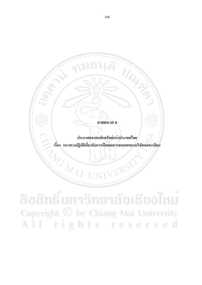#### ภาคผนวก ก

Nous

ประกาศตลาดหลักทรัพย์แห่งประเทศไทย เรื่อง แนวทางปฏิบัติเกี่ยวกับการเปิดเผยสารสนเทศของบริษัทจดทะเบียน MOMAI

ลิขสิทธิ์มหาวิทยาลัยเชียงไหม Copyright © by Chiang Mai University All rights reserved

**เมยนดุ** 

**PART**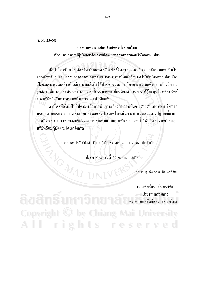$(119/1)$  23-00)

# าไระกาศตลาดหลักทรัพย์แห่งประเทศไทย เรื่อง แนวทางปฏิบัติเกี่ยวกับการเปิดเผยสารสนเทศของบริษัทจดทะเบียน

เพื่อให้การซื้อขายหลักทรัพย์ในตลาดหลักทรัพย์มีสภาพคล่อง มีความยุติธรรมและเป็นไป ้อย่างมีระเบียบ คณะกรรมการตลาดหลักทรัพย์แห่งประเทศไทยจึงกำหนดให้บริษัทจดทะเบียนต้อง ้เปิดเผยสารสนเทศที่จำเป็นต่อการตัดสินใจให้ประชาชนทราบ โดยสารสนเทศดังกล่าวต้องมีความ ถูกต้อง เพียงพอและทันเวลา นอกจากนี้บริษัทจดทะเบียนต้องดำเนินการให้ผู้ลงทุนในหลักทรัพย์ ของบริษัท ได้รับสารสนเทศดังกล่าวโดยเท่าเทียมกัน

้ คังนั้น เพื่อให้เป็นไปตามหลักการพื้นฐานเกี่ยวกับการเปิดเผยสารสนเทศของบริษัทจด ้ ทะเบียน คณะกรรมการตลาดหลักทรัพย์แห่งประเทศไทยเห็นควรกำหนดแนวทางปฏิบัติเกี่ยวกับ ้การเปิดเผยสารสนเทศของบริษัทจดทะเบียนตามแบบแนบท้ายประกาศนี้ ให้บริษัทจดทะเบียนทุก บริษัทถือปฏิบัติตามโดยเคร่งครัด

ประกาศนี้ให้ใช้บังคับตั้งแต่วันที่ 20 พฤษภาคม 2536 เป็นต้นไป ENG MAI

ประกาศ ณ วันที่ 30 เมษายน 2536

(ลงนาม) สังเวียน อินทรวิชัย

(นายสังเวียน อินทรวิชัย) ประธานกรรมการ ตลาดหลักทรัพย์แห่งประเทศไทย Copyright © by Chiang Mai University All rights reserved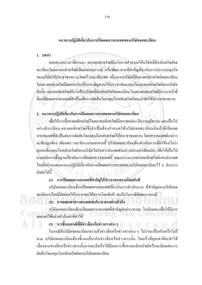# แนวทางปฏิบัติเกี่ยวกับการเปิดเผยสารสนเทศของบริษัทจดทะเบียน

1. บทนำ

ตลอดระยะเวลาที่ผ่านมา ตลาดหลักทรัพย์มีนโยบายกำหนดให้บริษัทที่มีหลักทรัพย์จด ทะเบียนในตลาดหลักทรัพย์เปิดเผยเหตุการณ์ หรือพัฒนาการที่สำคัญเกี่ยวกับการประกอบธุรกิจ ของบริษัทให้ประชาชนทราบโดยเร็วและเพียงพอ เนื่องจากบริษัทที่มีตลาดหลักทรัพย์จดทะเบียน ในตลาดหลักทรัพย์มีผลเท่ากับเป็นการเชิญชวนให้ประชาชนลงทุนในตลาดหลักทรัพย์ของบริษัท ้ดังนั้น ตลาดหลักทรัพย์ถือว่าเป็นบริษัทที่มีหลักทรัพย์จดทะเบียน ในตลาดหลักทรัพย์มีภาระหน้าที่ ด้องเปิดเผยสารสนเทศที่จำเป็นเพื่อการตัดสินใจลงทุนในหลักทรัพย์ของบริษัทให้ประชาชนทราบ

# 2. แนวทางปฏิบัติเกี่ยวกับการเปิดเผยสารสนเทศของบริษัทจดทะเบียน

เพื่อให้การซื้อขายหลักทรัพย์ในตลาดหลักทรัพย์มีสภาพคล่อง มีความยุติธรรม และเป็นไป อย่างมีระเบียบ ตลาดหลักทรัพย์จึงจำเป็นต้องกำหนดให้บริษัทจดทะเบียนมีหน้าที่เปิดเผย ิสารสนเทศที่จำเป็นต่อการตัดสินใจลงทนในหลักทรัพย์ให้ประชาชนทราบ โดยสารสนเทศดังกล่าว ้จะต้องถูกต้อง เพียงพอ และทันเวลานอกจากนี้ บริษัทจดทะเบียนต้องดำเนินการเพื่อให้แน่ใจว่า ิทุกคนที่ลงทุนในหลักทรัพย์ของบริษัทไดรับสารสนเทศดังกล่าวอย่างเท่าเทียมกัน เพื่อให้เป็นไป ็ตามหลักการพื้นฐานเกี่ยวกับการเปิดเผยสารสนเทศนี้ คณะกรรมการตลาดหลักทรัพย์แห่งประเทศ ใทยจึงกำหนดแนวทางปฏิบัติเกี่ยวกับการเปิดเผยสารสนเทศของบริษัทจดทะเบียนไว้ 6 ประการ ดังต่อไปนี้

# (1) การเปิดเผยสารสนเทศที่สำคัญให้ประชาชนทราบโดยทันที

บริษัทจดทะเบียนต้องเปิดเผยสารสนเทศเกี่ยวกับการดำเนินงาน ที่สำคัญของบริษัทจด ทะเบียนหรือบริษัทย่อยให้ประชาชนได้ทราบโดยทันที ยกเว้นในกรณีพิเศษบางกรณี

# (2) การเผยแพร่สารสนเทศต่อประชาชนอย่างทั่วถึง

ึบริษัทจดทะเบียนต้องเปิดเผยสารสนเทศที่สำคัญต่อประชาชน ในลักษณะเพื่อให้มีการ เผยแพร่ได้อย่างทั่วถึงเท่าที่ทำได้

# (3) การขี้แจงกรณีที่มีข่าวลือหรือข่าวสารต่าง ๆ ออก (2)

ในกรณีที่บริษัทจดทะเบียนทราบถึงข่าวลือหรือข่าวสารต่าง ๆ ใม่ว่าจะเป็นจริงหรือไม่ก็ ตาม บริษัทจดทะเบียนต้องชี้แจงเกี่ยวกับข่าวลือหรือข่าวสารนั้น โดยเร็วที่สุดเท่าที่จะทำได้ เนื่องจากข่างลือหรือข่าวสารนั้นอาจจะมีหรือใค้มีผลการซื้อขายหลักทรัพย์หรือจะมีผลต่อการ ตัดสินใจลงทุนในหลักทรัพย์ของบริษัทจดทะเบียน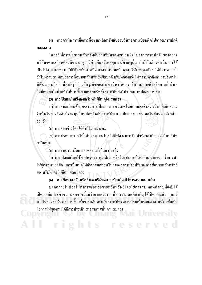# ิ การดำเบินการเมื่อการซื้อขายหลักทรัพย์ของบริษัทจดทะเบียนผิดไปจากสภาพปกติ ของตลาด

ในกรณีที่การซื้อขายหลักทรัพย์ของบริษัทจดทะเบียนผิดไปจากสภาพปกติ ของตลาด ึบริษัทจดทะเบียนต้องพิจารณาดูว่ามีข่าวลือหรือเหตุการณ์สำคัญอื่น ที่บริษัทต้องดำเนินการให้ ้เป็นไปตามแนวทางปฏิบัติเกี่ยวกับการเปิดเผยสารสนเทศนี้ หากบริษัทจดทะเบียนได้พิจารณาแล้ว ้ยังไม่ทราบสาเหตุของการซื้อขายหลักทรัพย์ที่ผิดปกติ บริษัทต้องแจ้งให้ทราบทั่วถึงกันว่าบริษัทไม่ มีพัฒนาการใด ๆ ที่สำคัญที่เกี่ยวกับธุรกิจและการดำเนินงานของบริษัททราบแล้วหรือตามที่บริษัท ใม่มีเหตผลใดที่จะทำให้การซื้อขายหลักทรัพย์ของบริษัทผิดไปจากสภาพปกติของตลาด

# (5) การเปิดเผยในเชิงส่งเสริมที่ไม่มีเหตุอันสมควร

บริษัทจดทะเบียนต้องละเว้นการเปิดเผยสารสนเทศในลักษณะเชิงส่งเสริม ที่เกิดความ จำเป็นในการตัดสินใจลงทุนในหลักทรัพย์ของบริษัท การเปิดเผยสารสนเทศในลักษณะดังกล่าว รวมถึง

(ถ) การออกข่าวโดยใช้คำที่ไม่เหมาะสม

rights

(ข) การประกาศข่าวให้แก่ประชาชนโดยไม่มีพัฒนาการที่แท้จริงของกิจกรรมในบริษัท ิสนับสนุน

้ (ค) การรายงานหรือการคาดคะเนที่เกินความจริง

(ง) การเปิดเผยโดยใช้คำที่หรูหรา ฟุ่มเฟือย หรือในรูปแบบอื่นที่เกินความจริง ซึ่งอาจทำ ให้ผู้ลงทุนหลงผิด และเป็นเหตุให้เกิดการเคลื่อนไหวของราคาหรือปริมาณการซื้อขายหลักทรัพย์ ของบริษัทโดยไม่มีเหตุผลสมควร

# (6) การซื้อขายหลักทรัพย์ของบริษัทจดทะเบียนโดยใช้สารสนเทศภายใน

บคคลภายในต้องไม่ทำการซื้อหรือขายหลักทรัพย์โดยใช้สารสนเทศที่สำคัญที่ยังมิได้ ้เปิดเผยต่อประชาชน นอกจากนี้แม้ว่าภายหลังจากที่สารสนเทศที่สำคัญได้เปิดเผยแล้ว บุคคล ี ภายในควรละเว้นจากการซื้อหรือขายหลักทรัพย์ของบริษัทจดทะเบียนเป็นระยะเวลาหนึ่ง เพื่อเปิด โอกาสให้ผู้ลงทุนได้มีการประเมินสารสนเทศนั้นตามสมควร **Chiang Mai University DW11gmu** 

reserved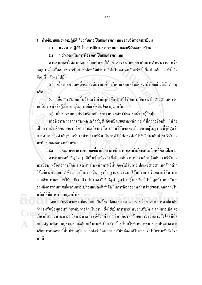- ่ 3. คำอธิบายแนวทางปฏิบัติเกี่ยวกับการเปิดเผยสารสนเทศของบริษัทจดทะเบียน
	- แนวทางปฏิบัติเรื่องการเปิดเผยสารสนเทศของบริษัทจดทะเบียน  $1.1$

#### หลักเกณฑ์ในการพิจารณาเปิดเผยสารสนเทศ  $(1)$

ิสารสนเทศซึ่งต้องเปิดเผยโดยทันที ได้แก่ สารสนเทศเกี่ยวกับการดำเนินงาน หรือ เหตุการณ์ หรือสภาพการซื้อขายหลักทรัพย์ของบริษัทในตลาคหลักทรัพย์ ซึ่งเข้าหลักเกณฑ์ข้อใค ข้อหนึ่ง ดังต่อไปนี้

(ก) เมื่อสารสนเทศนี้จะมีผลต่อราคาซื้อหรือขายหลักทรัพย์ของบริษัทอย่างมีนัยสำคัญ หรือ

(ข) เมื่อสารสนเทศนั้นถือได้ว่าสำคัญต่อผู้ลงทุนที่ใช้ผลการวิเคราะห์ สารสนเทศของ นักวิเคราะห์หรือผู้เชี่ยวชาญในการเลือกตัดสินใจลงทุน หรือ

(ค) เมื่อสารสนเทศนั้นมีหรือจะมีผลกระทบต่อสิทธิประโยชน์ของผู้ถือหุ้น

ิการพิจารณาว่าสารสนเทศใดสำคัญซึ่งต้องเปิดเผยตามหลักเกณฑ์ที่กล่าวข้างต้น ให้ถือ เป็นความรับผิดชอบของบริษัทจดทะเบียน เนื่องจากบริษัทจดทะเบียนเองอยู่ในฐานะที่รู้ดีสุดว่า ี่ สารสนเทศใดสำคัญสำหรับธุรกิจของบริษัท ในกรณีที่มีข้อสงสัยก็ให้ปรึกษากับฝ่ายบริษัทจด ทะเบียนของตลาดหลักทรัพย์

ประเภทของสารสนเทศเกี่ยวกับการดำเนินงานของบริษัทจดทะเบียนทีต้องเปิดเผย  $(2)$ 

สารสนเทศสำคัญใด ๆ ที่เป็นข้อเท็จจริงซึ่งมีผลต่อราคาของหลักทรัพย์ของบริษัทจด ทะเบียน หรือต่อการตัดสินใจลงทนในหลักทรัพย์นั้นต้องใด้รับการเปิดเผยสารสนเทศดังกล่าว ใด้แก่สารสนเทศที่สำคัญเกี่ยวกับทรัพย์สิน ธุรกิจ ฐานะและแนวโน้มทางการเงินของบริษัท การ รวมกิจการและการได้มาซึ่งธุรกิจ ข้อตกลงที่สำคัญกับลูกจ้าง ผู้ขายสินค้าให้ ลูกค้า และอื่น ๆ รวมถึงสารสนเทศเกี่ยวกับการเปลี่ยนแปลงที่สำคัญในการถือครองหลักทรัพย์ของบคคลภายใน หรือผ้ที่มีอำนาจควบคมบริษัท

โดยปกติบริษัทจดทะเบียนไม่จำเป็นต้องเปิดเผยประมาณการ หรือการคาดการณ์เกี่ยวกับ ้กำไรหรือข้อมลอื่นที่เกี่ยวกับการคำเนินงาน ซึ่งใช้เป็นการภายในของบริษัท หากมีการเปิดเผย เกี่ยวกับประมาณการหรือการคาดการณ์ดังกล่าว บริษัทต้องทำด้วยความระมัดระวังโดยมีข้อ ีสมมติฐานที่สมเหตุสมผลและต้องแจ้งตามที่เป็นจริง ด้วยเงื่อนไขที่เหมาะสม หากประมาณการ หรือการคาดการณ์นั้นปรากฏในภายหลังว่าผิดพลาด บริษัทต้องแก้ไขและแจ้งให้ทราบทั่วถึงโดย ทันที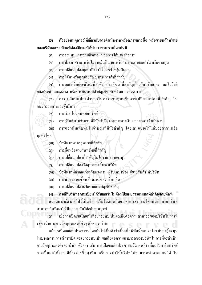ตัวอย่างเหตุการณ์ที่เกี่ยวกับการดำเนินงานหรือสภาพการซื้อ หรือขายหลักทรัพย์  $(3)$ ์ของบริษัทจดทะเบียนที่ต้องเปิดเผยให้ประชาชนทราบโดยทันที

ึการร่วมทุน การรวมกิจการ หรือการได้มาซึ่งกิจการ  $(n)$ 

การประกาศจ่าย หรือไม่จ่ายเงินปันผล หรือการประกาศผลกำไรหรือขาดทุน  $(9)$ 

้การเปลี่ยนแปลงมูลค่าที่ตราไว้ การจ่ายหุ้นปันผล  $(n)$ 

้ การใด้มาหรือสูญเสียสัญญาทางการค้าที่สำคัญ  $(3)$ 

ึการออกผลิตภัณฑ์ใหม่ที่สำคัญ การพัฒนาที่สำคัญเกี่ยวกับทรัพยากร เทคโนโลยี  $\mathbf{r}$ ผลิตภัณฑ์ และตลาด หรือการค้นพบที่สำคัญเกี่ยวกับทรัพยากรธรรมชาติ

ี การเปลี่ยนแปลงอำนาจในการควบคุมหรือการเปลี่ยนแปลงที่สำคัญ ใน  $\left( \mathfrak{D}\right)$ คณะกรรมการและฝับริการ

- การเรียกไถ่ถอนหลักทรัพย์  $(\mathcal{X})$
- ึการกู้ยืมเงินในจำนวนที่มีนัยสำคัญต่อฐานะการเงิน และผลการดำเนินงาน  $(\mathfrak{m})$
- ึการออกหุ้นเพิ่มทุนในจำนวนที่มีนัยสำคัญ โดยเสนอขายให้แก่ประชาชนหรือ  $\left( \mathfrak{g} \right)$

บคคลใด ๆ

- ข้อพิพาททางกฎหมายที่สำคัญ  $\mathfrak{g}(\mathfrak{g})$
- ิการซื้อหรือขายสินทรัพย์ที่สำคัญ  $\Omega$
- ิการเปลี่ยนแปลงที่สำคัญในโครงการจ่ายลงทุน  $\overline{(\mathfrak{g})}$
- การเปลี่ยนแปลงวัตถุประสงค์ของบริษัท  $(5)$
- ้ข้อพิพาทที่สำคัญเกี่ยวกับแรงงาน ผู้รับเหมาช่วง ผู้งายสินค้าให้บริษัท  $(\mathfrak{m})$
- การทำคำเสนอซื้อหลักทรัพย์ของบริษัทอื่น  $(\%)$
- การเปลี่ยนแปลงนโยบายการบัญชีที่สำคัญ  $\left(\mathfrak{u}\right)$

กรณีที่บริษัทจดทะเบียนได้รับยกเว้นไม่ต้องเปิดเผยสารสนเทศที่สำคัญโดยทันที  $(4)$ ิสถานการณ์คังต่อไปนี้เป็นข้อยกเว้นไม่ต้องเปิดเผยต่อประชาชนโดยทันที หากบริษัท สามารถเก็บรักษาไว้เป็นความลับได้อย่างสมบูรณ์

ี (ก) เมื่อการเปิดเผยโดยทันทีจะกระทบเป็นผลเสียต่อความสามารถของบริษัทในการที่ จะคำเนินการตามวัตถุประสงค์เชิงธุรกิจของบริษัท

แม้การเปิดเผยต่อประชาชนโดยทั่วไปเป็นสิ่งจำเป็นเพื่อพิทักษ์ผลประโยชน์ของผู้ลงทน ในบางสถานการณ์การเปิดเผยจะกระทบเป็นผลเสียต่อความสามารถของบริษัทในการที่จะดำเนิน ็ตามวัตถุประสงค์ของบริษัท ตัวอย่างเช่น การเปิดเผยต่อประชาชนถึงแผนที่จะซื้ออสังหาริมทรัพย์ อาจเป็นผลให้ราคาที่ต้องจ่ายซื้อสูงขึ้น หรืออาจทำให้บริษัทไม่สามารถทำตามแผนได้ ใน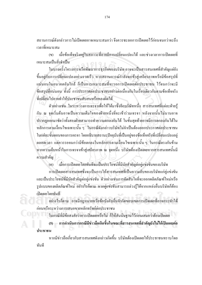ิสถานการณ์ดังกล่าวการไม่เปิดเผยอาจเหมาะสมกว่า จึงควรชะลอการเปิดเผยไว้ก่อนจนกว่าจะถึง ้เวลาที่เหมาะสม

เมื่อข้อเท็จจริงอยู่ในสภาวะที่อาจมีการเปลี่ยนแปลงได้ และช่วงเวลาการเปิดเผยที่  $(9)$ เหมาะสมเป็นสิ่งจำเป็น

ในบางครั้งโครงการหรือพัฒนาการธุรกิจของบริษัท อาจจะเป็นสารสนเทศที่สำคัญแต่ยัง ขึ้นอยู่กับการเปลี่ยนแปลงอย่างรวดเร็ว หากสถานการณ์กำลังจะเข้าสู่เสถียรภาพหรือมีข้อสรุปที่ แน่นอนในอนาคตอันใกล้ ก็เป็นการเหมาะสมที่จะรอการเปิดเผยต่อประชาชน ไว้จนกว่าจะมี ้ข้อสรุปที่แน่นอน ทั้งนี้ การประกาศต่อประชาชนอย่างต่อเนื่องกันในเรื่องเดียวกันตามข้อเท็จจริง ที่เปลี่ยนไปอาจทำให้ประชาชนสับสนหรือหลงผิดได้

ตัวอย่างเช่น ในระหว่างการเจรจาเพื่อให้ได้มาซึ่งอีกบริษัทหนึ่ง สารสนเทศที่แต่ละฝ่ายรู้ ้กัน ณ จุดเริ่มต้นอาจเป็นความเต็มใจของฝ่ายหนึ่งที่จะเข้าร่วมเจรจา หลังจากนั้นไม่นานอาจ ปรากฏออกมาชัดว่าทั้งสองฝ่ายสามารถทำความตกลงกันได้ ในขั้นสุดท้ายอาจมีการตกลงกันได้ใน หลักการตามเงื่อนไขเฉพาะนั้น ๆ ในกรณีดังกล่าวบริษัทไม่จำเป็นต้องออกประกาศต่อประชาชน ในแต่ละขั้นตอนของการเจรจา โดยอธิบายสถานะปัจจุบันที่เป็นอยู่ของข้อเท็จจริงที่เปลี่ยนแปลงอยู่ ีตลอดเวลา แต่ควรรอจนกว่ามีข้อตกลงในหลักการตามเงื่อนไขเฉพาะนั้น ๆ ในกรณีตรงกันข้าม หากความคืบหน้าในการเจรจาเข้าสู่เสถียรภาพ ณ จุดหนึ่ง บริษัทต้องเปิดเผยหากสารสนเทศนั้นมี ความสำคัญ

้เมื่อการเปิดเผยโดยทันทีจะเป็นประโยชน์ที่มีนัยสำคัญต่อคู่แข่งขันของบริษัท  $(n)$ 

การเปิดเผยสารสนเทศซึ่งจะเป็นการให้สารสนเทศที่เป็นความลับของบริษัทแก่คู่แข่งขัน และเป็นประโยชน์ที่มีนัยสำคัญต่อคู่แข่งขัน ตัวอย่างเช่นการตัดสินใจที่จะออกผลิตภัณฑ์ใหม่หรือ รูปแบบของผลิตภัณฑ์ใหม่ อย่างไรก็ตาม หากคู่แข่งขันสามารถล่วงรู้ได้จากแหล่งอื่นบริษัทก็ต้อง เปิดเผยโดยทันที

้อย่างไรก็ตาม อาจมีกฎหมายหรือข้อบังคับอื่นจำกัดขอบเขตการเปิดเผยที่อาจกระทำได้ ก่อนหรือระหว่างการเสนอขายหลักทรัพย์ต่อประชาชน

ในกรณีที่มีข้อสงสัยว่าควรเปิดเผยหรือไม่ ก็ให้สันนิษฐานไว้ก่อนเสมอว่าต้องเปิดเผย

(5) การดำเนินการกรณีมีข่าวลือเกิดขึ้นในขณะที่สารสนเทศที่สำคัญยังไม่ได้เปิดเผยต่อ ประชาชน

หากมีข่าวลือเกี่ยวกับสารสนเทศดังกล่าวเกิดขึ้น บริษัทต้องเปิดเผยให้ประชาชนทราบโดย ทับที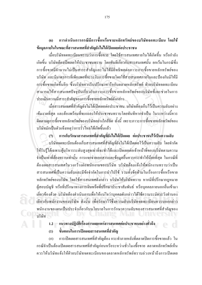ิการดำเนินการกรณีมีการซื้อหรือขายหลักทรัพย์ของบริษัทจดทะเบียน โดยใช้ 6 ข้อมูลภายในในขณะที่สารสนเทศที่สำคัญยังไม่ได้เปิดเผยต่อประชาชน

เมื่อบริษัทจดทะเบียนทราบว่าการซื้อขาย โดยใช้สารสนเทศภายในได้เกิดขึ้น หรือกำลัง เกิดขึ้น บริษัทต้องเปิดเผยให้ประชาชนทราบ โดยทันทีเกี่ยวกับสารสนเทศนั้น ยกเว้นในกรณีซึ่ง ึการซื้อขายมีจำนวนไม่เป็นสาระสำคัญและไม่ได้มีอิทธิพลต่อภาวะการซื้อขายหลักทรัพย์ของ ้ บริษัท และมีมาตรการที่เพียงพอที่จะระงับการซื้อขายโดยใช้สารสนเทศภายในและป้องกันมิให้มี ้การซื้อขายเกิดขึ้นอีก ซึ่งบริษัทควรรีบปรึกษาหารือกับตลาดหลักทรัพย์ ฝ่ายบริษัทจดทะเบียน สามารถให้สารสนเทศปัจจุบันเกี่ยวกับภาวะการซื้อขายหลักทรัพย์ของบริษัทซึ่งจะช่วยในการ ประเมินความมีสาระสำคัญของการซื้อขายหลักทรัพย์ดังกล่าว

เมื่อสารสนเทศที่สำคัญยังไม่ได้เปิดเผยต่อประชาชน บริษัทต้องเก็บไว้เป็นความลับอย่าง ้เข้มงวดที่สุด และต้องพร้อมที่จะแถลงให้ประชาชนทราบโดยทันทีหากจำเป็น ในระหว่างนี้ควร ้ติดตามดูการซื้อขายหลักทรัพย์ของบริษัทอย่างใกล้ชิด ทั้งนี้ เพราะภาวะการซื้อขายหลักทรัพย์ของ บริษัทมักเป็นตัวแจ้งเหตว่าการรั่วไหลใด้เกิดขึ้นแล้ว

#### ี การเก็บรักษาสารสนเทศที่สำคัญที่ยังไม่ได้เปิดเผย ต่อประชาชนไว้เป็นความลับ  $(7)$

้ บริษัทจดทะเบียนต้องเก็บสารสนเทศที่สำคัญที่ยังไม่ได้เปิดเผยไว้เป็นความลับ โดยจำกัด ให้รับรู้ได้เฉพาะผู้บริหารระดับสูงสุดเท่าที่จะทำได้และเปิดเผยต่อเจ้าหน้าที่ของบริษัทตามความ จำเป็นเท่าที่ต้องทราบเท่านั้น การแจกจ่ายเอกสารและข้อมูลอื่นควรกระทำให้น้อยที่สุด ในกรณีที่ ด้องเผยสารสนเทศในวงกว้างต่อพนักงานของบริษัท บริษัทต้องแจ้งให้พนักงานทราบว่าเป็น ี่ สารสนเทศที่เป็นความลับและมีข้อจำกัดในการนำไปใช้ รวมทั้งข้อห้ามในเรื่องการซื้อหรือขาย หลักทรัพย์ของบริษัท โดยใช้สารสนเทศดังกล่าว บริษัทให้บริษัททราบ หากมีที่ปรึกษากฎหมาย ผู้สอบบัญชี หรือที่ปรึกษาทางการเงินหรือที่ปรึกษาประชาสัมพันธ์ หรือบุคคลภายนอกอื่นเข้ามา เกี่ยวข้องด้วย บริษัทต้องคำเนินการเพื่อให้แน่ใจว่าบกกลดังกล่าวได้ใช้ความระมัดระวังทำนอง ้เคียวกับพนักงานของบริษัท ดังนั้น เพื่อรักษาไว้ซึ่งความลับบริษัทจดทะเบียนควรบอกกล่าว พนักงานของตนเป็นประจำเกี่ยวกับนโยบายในการรักษาความลับของสารสนเทศที่สำคัญของ **าเรินัท** 

1.2 แนวทางปฏิบัติเรื่องการเผยแพร่สารสนเทศต่อประชาชนอย่างทั่วถึง

ขั้นตอนในการเปิดเผยสารสนเทศที่สำคัญ  $(1)$ 

ี การเปิดเผยสารสนเทศที่สำคัญต้อง กระทำภายหลังที่ตลาดปิดการซื้อขายแล้ว ใน  $(n)$ ึกรณีจำเป็นต้องเปิดเผยสารสนเทศที่สำคัญก่อนหรือระหว่างชั่วโมงซื้อขาย ตลาดหลักทรัพย์เห็น ้ควรให้บริษัทแจ้งให้ฝ่ายบริษัทจดทะเบียนของตลาดหลักทรัพย์ทราบล่วงหน้าถึงการเปิดเผย

175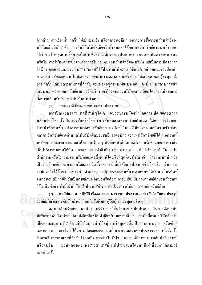้ ดังกล่าว หากเรื่องนั้นเกิดขึ้นไม่เป็นประจำ หรือคาดว่าจะมีผลต่อภาวะการซื้อขายหลักทรัพย์ของ ึบริษัทอย่างมีนัยสำคัญ การที่บริษัทให้ข้อเท็จจริงทั้งหมดทำให้ตลาดหลักทรัพย์สามารถพิจารณา ใด้ว่าการให้หยุดการซื้อขายเป็นการชั่วคราวเพื่อรอการประกาศสารสนเทศเป็นสิ่งที่เหมาะสม หรือไม่ การให้หยุดการซื้อขายดังกล่าวไม่กระทบต่อหลักทรัพย์ของบริษัท แต่เป็นการเปิดโอกาส ให้มีการเผยแพร่และประเมินสารสนเทศที่ได้ประกาศให้ทราบ วิธีการดังกล่าวมักจะช่วยป้องกัน ึการเกิดข่าวลือและความใม่มีเสถียรภาพของภาวะตลาด รวมทั้งความใม่เสมอภาคต่อผู้ลงทุน ซึ่ง ้อาจเกิดขึ้นได้เมื่อสารสนเทศที่สำคัญเผยแพร่ต่อผ้ลงทนเพียงบางกล่ม ดังนั้น ในสถานการณ์ที่ ้เหมาะสม ตลาดหลักทรัพย์สามารถให้บริการแก่ผู้ลงทุนและบริษัทจดทะเบียนโดยการให้หยุดการ ซื้อขายหลักทรัพย์ของบริษัทเป็นการชั่วคราว

ช่วงเวลาที่เปิดเผยสารสนเทศต่อประชาชน  $(91)$ 

ึการเปิดเผยสารสนเทศที่สำคัญใด ๆ ต่อประชาชนต้องทำโดยการเปิดเผยต่อตลาด หลักทรัพย์โดยแจ้งเป็นหนังสือหรือโดยวิธีการอื่นที่ตลาดหลักทรัพย์กำหนด ได้แก่ การโฆษณา ในหนังสือพิมพ์การส่งสารสนเทศทางสื่ออิเลคโทรนิคส์ ในกรณีที่สารสนเทศมีความซับซ้อน ็ตลาดหลักทรัพย์อาจกำหนดให้บริษัทจัดประชุมชี้แจงต่อนักวิเคราะห์หลักทรัพย์ก็ได้ นอกจากนี้ ิบริษัทอาจเปิดเผยสารสนเทศให้ทราบพร้อม ๆ กันต่อหนังสือพิมพ์ต่าง ๆ หรือสำนักแถลงข่าวอื่น ้เพื่อให้สารสนเทศได้มีการเผยแพร่อย่างทั่วถึงกัน เช่น การประกาศข่าวให้ทราบทั่วกันภายใน ้สำนักงานหรือโรงงานของบริษัทและต่อสิ่งพิมพ์โดยเร็วที่สุดที่จะทำใด้ เช่น โดยโทรศัพท์ หรือ ้เป็นลายลักษณ์อักษรส่งมอบโดยตรง ในทั้งสองกรณีเพื่อให้มีการประกาศข่าวโดยเร็ว บริษัทควร ระมัคระวังไว้ด้วยว่า แหล่งข่าวดังกล่าวอาจปฏิเสธที่จะพิมพ์สารสนเทศที่ได้รับทางโทรศัพท์ จนกว่าจะได้มีการยืนยันเป็นลายลักษณ์อักษรหรือต้องมีการยืนยันเป็นลายลักษณ์อักษรหลังจากที่ ใค้ลงพิมพ์แล้ว ทั้งนี้บริษัทต้องส่งประกาศต่าง ๆ ต่อประชาชนให้แก่ตลาดหลักทรัพย์ด้วย

(2) การใช้แนวทางปฏิบัติ เรื่องการเผยแพร่ข่าวต่อประชาชนอย่างทั่วถึงกับการประชุม ร่วมกับนักวิเคราะห์หลักทรัพย์ นักหนังสือพิมพ์ ผู้ถือหุ้น และบุคคลอื่น ๆ

ตลาคหลักทรัพย์ขอแนะนำว่า บริษัทควรใช้นโยบาย "เปิดประตู" ในการติดต่อกับ นักวิเคราะห์หลักทรัพย์ นักหนังสือพิมพ์พิมพ์ ผู้ถือหุ้น และคนอื่น ๆ อย่างไรก็ตาม บริษัทต้องไม่ ้เปิดเผยพัฒนาการที่สำคัญแก่นักวิเคราะห์ ผู้ถือหุ้น หรือบุคคลอื่นเป็นการเฉพาะราย หรือเลือก ้เฉพาะบางราย ยกเว้นว่าได้มีการเปิดเผยและเผยแพร่ สารสนเทศนั้นต่อประชาชนอย่างทั่วถึงแล้ว ในกรณีซึ่งสารสนเทศที่สำคัญใค้ถูกเปิดเผยอย่างไม่ตั้งใจ ในขณะที่มีการประชุมกับนักวิเคราะห์ หรือคนอื่น ๆ บริษัทต้องเผยแพร่สารสนเทศนั้นให้ประชาชนโดยทันทีเท่าที่จะทำได้ตามวิธี ดังกล่าวแล้ว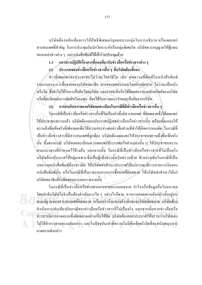้บริษัทต้องหลีกเลี่ยงการให้สิทธิพิเศษแก่บุคคลบางกลุ่มในการอธิบาย หรือเผยแพร่ ี สารสนเทศที่สำคัญ ในการประชุมกับนักวิเคราะห์หรือกลุ่มพิเศษใด บริษัทควรอนุญาตให้ผู้แทน ของแหล่งข่าวต่าง ๆ และหนังสือพิมพ์ได้เข้าร่วมประชุมด้วย

#### แนวทางปฏิบัติเรื่องการชี้แจงเกี่ยวกับข่าวลือหรือข่าวสารต่าง ๆ  $1.3$

#### ประเภทของข่าวลือหรือข่าวสารอื่น ๆ ที่บริษัทต้องขี้แจง  $(1)$

ข่าวที่เผยแพร่ต่อประชาชนไม่ว่าจะโคยวิธีใด เช่น บทความที่พิมพ์ในหนังสือพิมพ์ รายงานภาวะการซื้อขายของบริษัทสมาชิก สารสนเทศประเภทโดยปากต่อปาก ไม่ว่าจะเป็นจริง หรือไม่ ซึ่งยังไม่ได้รับการยืนยันโดยบริษัท และอาจจะมีหรือได้มีผลต่อราคาหลักทรัพย์ของบริษัท หรือที่จะมีผลต่อการตัดสินใจลงทุน ต้องได้รับความกระจ่างและยืนยันจากบริษัท

#### ิการดำเนินการของบริษัทจดทะเบียนในกรณีที่มีข่าวลือหรือข่าวสารอื่น ๆ  $(2)$

ในกรณีที่เป็นข่าวลือหรือข่าวสารอื่นที่ไม่เป็นจริงซึ่งมีสารสนเทศ ที่ผิดพลาดซึ่งได้เผยแพร่ ให้ประชาชนทราบแล้ว บริษัทต้องออกประกาศปฏิเสธข่าวลือหรือข่าวสารนั้น พร้อมทั้งแถลงให้ ้ทราบถึงข้อเท็จจริงที่เพียงพอเพื่อให้ความกระจ่างต่อข่าวลือส่วนที่ทำให้เกิดการหลงผิด ในกรณีที่ เป็นข่าวลือข่าวสารที่มีสารสนเทศที่ถูกต้อง บริษัทต้องเผยแพร่ให้ประชาชนทราบถึงข้อเท็จจริง ้นั้น ทั้งสองกรณี บริษัทจดทะเบียนควรเผยแพร่ประกาศหรือคำแถลงนั้น ๆ ให้ประชาชนทราบ ตามแนวทางที่กำหนดไว้ข้างต้น นอกจากนั้น ในกรณีที่เป็นข่าวลือหรือข่าวสารที่ไม่เป็นจริง ึบริษัทต้องประกาศให้กลุ่มเฉพาะซึ่งเป็นผู้แจ้งข่าวนั้นรับทราบด้วย ตัวอย่างเช่นในกรณีที่เป็น ้บทความหนังสือพิมพ์ที่ลงข่าวผิด ให้บริษัทส่งสำเนาประกาศให้แก่บรรณาธิการสายการเงินของ หนังสือพิมพ์นั้น หรือในกรณีที่เป็นรายงานภาวะการซื้อขายที่ผิดพลาด ให้บริษัทส่งสำเนาให้แก่ บริษัทสมาชิกที่รับผิดชอบการออกรายงานนั้น

ในกรณีที่เป็นข่าวลือหรือข่าวสารการคาดคะเนยอดขาย กำไรหรือข้อมูลอื่นในอนาคต โดยปกติบริษัทไม่จำเป็นต้องคำเนินการใด ๆ อย่างไรก็ตาม หากการคาดคะเนดังกล่าวตั้งอยู่บน ิสมมติฐานของสารสนเทศที่ผิดพลาด หรือกล่าวถึงแหล่งอ้างอิงของบริษัทผิดพลาด บริษัทต้อง ้คำเนินการเช่นเดียวกับกรณีของข่าวลือหรือข่าวสารที่ไม่เป็นจริง นอกจากนั้นหากข่าวลือหรือ ข่าวสารมีการคาดคะเนซึ่งผิดพลาดอย่างเห็นได้ชัด บริษัทต้องออกประกาศให้ทราบว่าบริษัทเอง ไม่ได้ทำการคาดคะเนดังกล่าว และในปัจจุบันเท่าที่ทราบไม่มีข้อเท็จจริงใดที่จะสนับสนุนการ คาดคะเนดังกล่าว

177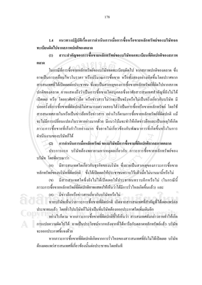แนวทางปฏิบัติเรื่องการดำเนินการเมื่อการซื้อหรือขายหลักทรัพย์ของบริษัทจด  $1.4$ ทะเบียนผิดไปจากสภาพปกติของตลาด

ิสาระสำคัญของการซื้อขายหลักทรัพย์ของบริษัทจดทะเบียนที่ผิดปกติของสภาพ  $(1)$ ตลาด

ในกรณีที่การซื้อขายหลักทรัพย์ของบริษัทจดทะเบียนผิดไป จากสภาพปกติของตลาด ซึ่ง อาจเป็นการเคลื่อนใหวในราคา หรือปริมาณการซื้อขาย หรือทั้งสองอย่างเกิดขึ้นโดยปราศจาก สารสนเทศที่ได้เปิดเผยต่อประชาชน ซึ่งจะเป็นสาเหตุของการซื้อขายหลักทรัพย์ที่ผิดไปจากสภาพ ปกติของตลาด อาจแสดงถึงว่าเป็นการซื้อขายโดยบุคคลซึ่งอาศัยสารสนเทศสำคัญที่ยังไม่ได้ ้เปิดเผย หรือ โดยอาศัยข่าวลือ หรือข่าวสารไม่ว่าจะเป็นจริงหรือไม่เป็นจริงเกี่ยวกับบริษัท มี บ่อยครั้งที่การซื้อขายที่ผิดปกติไม่สามารถตรวจสอบได้ว่าเป็นการซื้อหรือขายหลักทรัพย์ โดยใช้ ี่ สารสนเทศภายในหรือเป็นข่าวลือหรือข่าวสาร อย่างไรก็ตามการซื้อขายหลักทรัพย์ที่ผิดปกติ แม้ ้จะไม่มีการเปลี่ยนแปลงในราคาอย่างมากด้วย มีแนวโน้มจะทำให้เกิดข่าวลือและเป็นเหตุให้เกิด ึภาวะการซื้อขายที่เก็งกำไรอย่างมาก ซึ่งอาจไม่เกี่ยวข้องกับพัฒนาการที่เกิดขึ้นจริงในการ ดำเนินงานของบริษัทก็ได้

้ (2) การดำเนินการเมื่อหลักทรัพย์ ของบริษัทมีการซื้อขายที่ผิดปกติจากสภาพตลาด

ประการแรก บริษัทต้องพยายามหาเหตุผลเกี่ยวกับ ภาวะการซื้อขายหลักทรัพย์ของ บริษัท โดยพิจารณาว่า

มีสารสนเทศใดเกี่ยวกับธุรกิจของบริษัท ซึ่งอาจเป็นสาเหตุของภาวะการซื้อขาย  $(n)$ หลักทรัพย์ของบริษัทที่ผิดปกติ ซึ่งได้เปิดเผยให้ประชาชนทราบไว้แล้วเมื่อไม่นานมานี้หรือไม่

้มีสารสนเทศใดซึ่งยังไม่ได้เปิดเผยให้ประชาชนทราบอีกหรือไม่ (ในกรณีนี้  $(91)$ .ภาวะการซื้อขายหลักทรัพย์ที่ผิดปกติอาจแสดงให้เห็นว่าได้มีการรั่วไหลเกิดขึ้นแล้ว) และ

(ค) มีข่าวลือหรือข่าวสารเกี่ยวกับบริษัทหรือไม่

หากบริษัทเห็นว่าภาวะการซื้อขายที่ผิดปกติ เกิดจากสารสนเทศที่สำคัญที่ได้เผยแพร่ต่อ ประชาชนแล้ว โดยทั่วไปบริษัทก็ไม่จำเป็นที่บริษัทต้องออกประกาศใดเพิ่มเติมอีก

้อย่างไรก็ตาม หากภาวะการซื้อขายที่ผิดปกติชี้ให้เห็นว่า สารสนเทศดังกล่าวอาจทำให้เกิด ึการแปลความผิดไปได้ อาจเป็นประโยชน์หากหลังจากที่ได้หารือกับตลาดหลักทรัพย์แล้ว บริษัท าะออกประกาศขี้แจงด้วย

หากภาวะการซื้อขายที่ผิดปกติเกิดจากการรั่วไหลของสารสนเทศที่ยังไม่ได้เปิดเผย บริษัท ด้องเผยแพร่สารสนเทศที่เกี่ยวข้องนั้นต่อประชาชนโดยทันที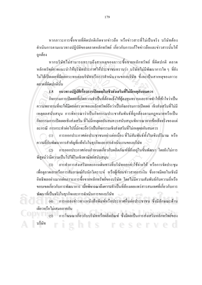หากภาวะการซื้อขายที่ผิดปกติเกิดจากข่าวลือ หรือข่าวสารที่ไม่เป็นจริง บริษัทต้อง ้คำเนินการตามแนวทางปฏิบัติของตลาดหลักทรัพย์ เกี่ยวกับการแก้ไขข่าวลือและข่าวสารนั้นให้ ถูกต้อง

หากบริษัทไม่สามารถทราบถึงสาเหตุของภาวะซื้อขายหลักทรัพย์ ที่ผิดปกติ ตลาด หลักทรัพย์อาจแนะนำให้บริษัทประกาศให้ประชาชนทราบว่า บริษัทไม่มีพัฒนาการใด ๆ ที่ยัง ไม่ได้เปิดเผยที่มีผลกระทบต่อบริษัทหรือการคำเนินงานของบริษัท ซึ่งจะเป็นสาเหตุของภาวะ ตลาดที่ผิดปกตินั้น

#### แนวทางปฏิบัติเรื่องการเปิดเผยในเชิงส่งเสริมที่ไม่มีเหตุอันสมควร  $1.5$

กิจกรรมการเปิดเผยที่เกิดความจำเป็นที่ต้องแจ้งให้ผู้ลงทุนทราบและอาจทำให้เข้าใจว่าเป็น ้ ความพยายามที่จะให้มีผลต่อราคาของหลักทรัพย์ถือว่าเป็นกิจกรรมการเปิดเผย เชิงส่งเสริมที่ไม่มี เหตุผลสนับสนุน การพิจารณาว่าเป็นกิจกรรมประชาสัมพันธ์ที่ถูกต้องตามกฎหมายหรือเป็น ้กิจกรรมการเปิดเผยเชิงส่งเสริม ที่ไม่มีเหตุผลอันสมควรสนับสนุนพิจารณาจากข้อเท็จจริงของแต่ ิละกรณี การกระทำต่อไปนี้มักจะถือว่าเป็นกิจกรรมเชิงส่งเสริมที่ไม่เหตุผลอันสมควร

ึ การออกประกาศต่อประชาชนอย่างต่อเนื่อง ที่ไม่สัมพันธ์ทั้งในเชิงปริมาณ หรือ  $(1)$ ้ความถี่กับพัฒนาการสำคัญที่แท้จริงในธุรกิจและการคำเนินงานของบริษัท

ิการออกประกาศก่อนกำหนดเกี่ยวกับผลิตภัณฑ์ที่ยังอย่ในขั้นพัฒนา โดยยังไม่การ  $(2)$ พิสจน์ว่ามีความเป็นไปได้ในเชิงพาณิชย์สนับสนน

ึการทำการส่งเสริมและการเดินทางที่บริษัทออกค่าใช้จ่ายให้ หรือการจัดประชุม  $(3)$ เพื่อดูลาคเลาหรือการสัมภาษณ์กับนักวิเคราะห์ หรือผู้เขียนข่าวสายการเงิน ซึ่งอาจมีผลในเชิงมี ้อิทธิพลอย่างมากต่อภาวะการซื้อขายหลักทรัพย์ของบริษัท โดยไม่มีความสัมพันธ์กับความถี่หรือ ึ่งอบเขตเกี่ยวกับการพัฒนาการ เมื่อพิจารณาถึงความจำเป็นที่ต้องเผยแพร่สารสนเทศที่เกี่ยวกับการ พัฒนาที่เป็นจริงในธุรกิจและการคำเนินการของบริษัท

(4) การแถลงข่าวทางหนังสือพิมพ์หรือประกาศอื่นต่อประชาชน ซึ่งมีลักษณะด้าน เดียวหรือไม่เสมอภาคกัน

0 0 1 (5) การโฆษณาเกี่ยวกับบริษัทหรือผลิตภัณฑ์ ซึ่งมีผลเป็นการส่งเสริมหลักทรัพย์ของ

บริษัท

rights reserved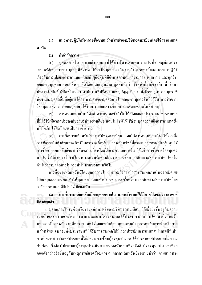แนวทางปฏิบัติเรื่องการซื้อขายหลักทรัพย์ของบริษัทจดทะเบียนโดยใช้สารสนเทศ  $16$ ภายใน

้คำจำกัดความ  $(1)$ 

ิบุคคลภายใน หมายถึง บุคคลที่ได้ล่วงรู้สารสนเทศ ภายในที่สำคัญก่อนที่จะ  $(n)$ ้เผยแพร่ต่อประชาชน บุคคลที่พิจารณาได้ว่าเป็นบุคคลภายในตามวัตถุประสงค์ของแนวทางปฏิบัติ ้เกี่ยวกับการเปิดเผยสารสนเทศ ได้แก่ ผู้ถือหุ้นที่มีอำนาจควบคุม กรรมการ พนักงาน และลูกจ้าง ตลอดจนบุคคลภายนอกอื่น ๆ อันได้แก่นักกฎหมาย ผู้สอบบัญชี เจ้าหน้าที่วานิชธุรกิจ ที่ปรึกษา ี ประชาสัมพันธ์ ผู้พิมพ์โฆษณา สำนักงานที่ปรึกษา และคู่สัญญาอิสระ ทั้งนี้รวมคู่สมรส บุตร พี่ ้น้อง และบคคลอื่นที่อย่ภายใต้การควบคมของบคคลภายในตลอดจนบคคลอื่นที่ได้รับ การชักชวน โดยบุคคลดังกล่าว และบุคคลที่ได้รับการบอกกล่าวเกี่ยวกับสารสนเทศภายในที่สำคัญ

ี่ สารสบเทศกายใบ ได้แก่ สารสบเทศซึ่งยังไม่ได้เปิดเผยต่อประชาชบ สารสบเทศ  $(91)$ ที่มีใว้ใช้เพื่อวัตถุประสงค์ของบริษัทอย่างเดียว และใม่ใช่มีไว้ใช้ส่วนบุคคลรวมถึงสารสนเทศซึ่ง ำเรินัทเก็บไว้ไม่เปิดเผยเป็นการชั่วคราว

ิการซื้อขายหลักทรัพย์ของบริษัทจดทะเบียน โดยใช้สารสนเทศภายใน ให้รวมถึง  $(n)$ ึการซื้อขายใบสำคัญแสดงสิทธิในการจองซื้อหุ้น และหลักทรัพย์ที่อาจแปลงสภาพเป็นหุ้นทุนได้ ิการซื้อขายหลักทรัพย์ของบริษัทจดทะเบียนโดยใช้สารสนเทศภายใน ได้แก่ การซื้อขายโดยบกกล ึภายในซึ่งได้รับประโยชน์ไม่ว่าทางตรงหรือทางอ้อมจากการซื้อขายหลักทรัพย์ของบริษัท โดยไม่ คำนึงถึงว่าบคคลภายในกระทำในนามของตนหรือไม่

ึการซื้อขายหลักทรัพย์โดยบกกลภายใน ให้รวมถึงการนำสารสนเทศภายในออกเปิดเผย ให้แก่บุคคลภายนอก ทำให้บุคคลภายนอกดังกล่าวสามารถซื้อหรือขายหลักทรัพย์ของบริษัทโดย อาศัยสารสนเทศที่ยังไม่ได้เปิดเผยนั้น

ี การซื้อขายหลักทรัพย์โดยบุคคลภายใน ภายหลังจากที่ได้มีการเปิดเผยสารสนเทศ  $(2)$ ที่สำคัญแล้ว

ิบุคคลภายในจะซื้อหรือขายหลักทรัพย์ของบริษัทจดทะเบียน ได้เมื่อไรขึ้นอยู่กับความ รวดเร็วและความแพร่หลายของการเผยแพร่สารสนเทศให้ประชาชน ทราบโดยทั่วถึงกันแล้ว นอกจากนี้ภายหลังจากที่สารสนเทศได้เผยแพร่แล้ว บคคลภายในควรละเว้นการซื้อหรือขาย หลักทรัพย์ จนกระทั่งประชาชนที่ได้รับสารสนเทศได้มีเวลาประเมินสารสนเทศ ในกรณีที่เป็น ึการเปิดเผยสารสนเทศประเภทที่ไม่มีความซับซ้อนผู้ลงทุนสามารถใช้สารสนเทศประเภทที่มีความ ซับซ้อน ซึ่งต้องให้เวลาแก่ผู้ลงทุนประเมินสารสนเทศนั้นก่อนที่จะตัดสินใจลงทุน ช่วงเวลาที่รอ ี คอยดังกล่าวจึงขึ้นอยู่กับเหตุการณ์แวดล้อมต่าง ๆ ตลาดหลักทรัพย์ขอแนะนำว่า ตามแนวทาง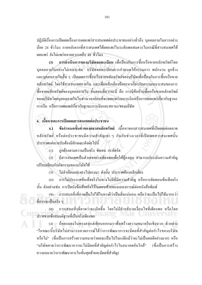ปฏิบัติเรื่องการเปิดเผยเรื่องการเผยแพร่สารสนเทศต่อประชาชนอย่างทั่วถึง บุคคลภายในควรอย่าง ้น้อย 24 ชั่วโมง ภายหลังจากที่สารสนเทศได้เผยแพร่ในระดับพอสมควรในกรณีที่สารสนเทศได้ ้เผยแพร่ ยังไม่แพร่หลายควรรอถึง 48 ชั่วโมง

ี การดำเนินการของบริษัทจดทะเบียน เพื่อป้องกันการซื้อหรือขายหลักทรัพย์โดย  $(3)$ บุคคลภายในอย่างไม่เหมาะสม บริษัทจดทะเบียนควรกำหนดให้กรรมการ พนักงาน ลูกจ้าง และบุคคลภายในอื่น ๆ เปิดเผยการซื้อหรือขายหลักทรัพย์ของบริษัทเพื่อป้องกันการซื้อหรือขาย หลักทรัพย์ โดยใช้สารสนเทศภายใน และเพื่อหลีกเลี่ยงข้อครหาเกี่ยวกับความเหมาะสมของการ ซื้อขายหลักทรัพย์ของบุคคลภายใน ขั้นตอนที่ควรจะมี คือ การมีข้อห้ามซื้อหรือขายหลักทรัพย์ ของบริษัทโดยบุคคลภายในในช่วงเวลาก่อนที่จะเผยแพร่งบการเงินหรือการเผยแพร่เกี่ยวกับฐานะ ึการเงิน หรือการเผยแพร่เกี่ยวกับจานะการเงินและสถานะของบริษัท

## 4. เนื้อหาและการเปิดเผยสารสนเทศต่อประชาชน

ข้อกำหนดขั้นต่ำของตลาดหลักทรัพย์ เนื้อหาของสารสนเทศที่เปิดเผยต่อตลาด หลักทรัพย์ หรือต่อประชาชนมีความสำคัญเท่า ๆ กันกับช่วงเวลาที่เปิดเผยสารสนเทศนั้น ำไระกาศแต่ละฉบับต้องมีลักษณะดังต่อไปนี้

ถกต้องตามความเป็นจริง ชัดเจน กะทัดรัด  $(1)$ 

้มีสารสนเทศเป็นตัวเลขอย่างเพียงพอเพื่อให้ผู้ลงทุน สามารถประเมินความสำคัญ  $(2)$ เปรียบเทียบกับกิจกรรมของบริษัทได้

ไม่ถำเอียงและตรงไปตรงมา ดังนั้น ประกาศต้องหลีกเลี่ยง  $(3)$ 

ึการใม่ประกาศข้อเท็จจริงในทางใม่ดีที่มีความสำคัญ หรือการตัดทอนข้อเท็จจริง  $(n)$ ้นั้น ตั้งอย่างเช่น การปิดบังข้อเท็จจริงไว้ในตอนท้ายของแถลงการณ์ต่อหนังสือพิมพ์

(ข) – การเสนอสิ่งที่อาจเป็นไปได้ในทางดีว่าเป็นสิ่งแน่นอน หรือว่าจะเป็นไปได้มากกว่า ที่ควรจะเป็นจริง ๆ

ึการเสนอสิ่งที่คาดว่าจะเกิดขึ้น โดยไม่มีคำอธิบายเงื่อนไขที่เพียงพอ หรือโดย  $(n)$ ปราศจากข้อสมมติฐานที่เป็นจริงเพียงพอ

(ง) - ถ้อยแถลงในทางลบแต่เขียนออกมา เพื่อสร้างความหมายในเชิงบวก ตัวอย่าง "ในขณะนี้บริษัทไม่สามารถคาดการณ์ได้ว่าการพัฒนาการจะมีผลที่สำคัญต่อกำไรของบริษัท หรือไม่" (ซึ่งเป็นการสร้างความหมายว่าผลจะเป็นไปในแง่ดีแม้ว่าจะไม่เป็นผลดีอย่างมาก) หรือ "บริษัทคาดว่าการพัฒนาการจะไม่มีผลที่สำคัญต่อกำไรในอนาคตอันใกล้" (ซึ่งเป็นการสร้าง ้ความหมายว่าการพัฒนาการในขั้นสุดท้ายจะมีผลที่สำคัญ)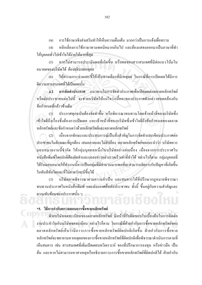้การใช้ภาษาเชิงส่งเสริมทำให้เห็นความตื่นเต้น มากกว่าเป็นการแจ้งเพื่อทราบ  $\left( \widehat{\mathbf{u}}\right)$ 

หลีกเลี่ยงการใช้ภาษาทางเทคนิคมากเกินไป และต้องแสดงออกมาเป็นภาษาที่ทำ  $(4)$ ให้บุคคลทั่วไปเข้าใจได้ง่ายให้มากที่สุด

หากไม่สามารถประเมินผลที่เกิดขึ้น หรือผลของสารสนเทศที่มีต่อแนวโน้มใน  $(5)$ อนาคตของบริษัทได้ ต้องอธิบายเหตุผล

่ ให้ความกระจ่างและชี้ให้เห็นทางเลือกที่มีเหตุผล ในกรณีที่การเปิดเผยได้มีการ  $(6)$ ดีความสารสนเทศที่ได้เปิดเผยบั้น

ี การจัดทำประกาศ แนวทางในการจัดทำประกาศเพื่อเปิดเผยต่อตลาดหลักทรัพย์  $\overline{42}$ หรือต่อประชาชนต่อไปนี้ จะช่วยบริษัทให้แน่ใจว่าเนื้อหาของประกาศดังกล่าวสอดกล้องกับ ข้อกำหบดที่กล้าวข้างต้บ

ประกาศทกฉบับต้องจัดทำขึ้น หรือพิจารณาทบทวนโดยเจ้าหน้าที่ของบริษัทซึ่ง  $(1)$ ้เข้าใจดีถึงเรื่องซึ่งต้องการเปิดเผย และเจ้าหน้าที่ของบริษัทซึ่งเข้าใจดีถึงข้อกำหนดของตลาด หลักทรัพย์และข้อกำหนดว่าด้วยหลักทรัพย์และตลาดหลักทรัพย์

เนื่องจากทักษะและประสบการณ์เป็นสิ่งสำคัญในการจัดทำและเขียนประกาศต่อ  $(2)$ ี ประชาชนในลักษณะที่ถกต้อง เสมอภาคและไม่ลำเอียง ตลาดหลักทรัพย์ขอแนะนำว่า บริษัทควร ิมอบหมายงานนี้จำกัด ให้กล่มบคคลหนึ่งในบริษัทอย่างต่อเนื่อง เนื่องจากการประกาศใน หนังสือพิมพ์โดยปกติต้องจัดทำและแถลงข่าวอย่างรวดเร็วเท่าที่ทำได้ อย่างไรก็ตาม กล่มบคกลที่ ใค้รับมอบหมายให้ทำงานนี้ควรเป็นกลุ่มที่มีจำนวนมากพอที่จะสามารถจัดการกับปัญหาที่เกิดขึ้น ในทันทีทันใดและที่ไม่คาดว่าจะมีขึ้นได้

บริษัทอาจพิจารณาตามความจำเป็น และสมควรให้ที่ปรึกษากฎหมายพิจารณา  $(3)$ ทบทวนประกาศในหนังสือพิมพ์ และประกาศอื่นต่อประชาชน ทั้งนี้ ขึ้นอยู่กับความสำคัญและ ้ความซับซ้อนของประกาศนั้น ๆ

# \*5. วิธีการกำกับตรวจสอบการซื้อขายหลักทรัพย์

ฝ่ายบริษัทจดทะเบียนของตลาดหลักทรัพย์ มีหน้าที่รับผิดชอบในเบื้องต้นในการติดต่อ งานประจำวันกับบริษัทจดทะเบียน อย่างไรก็ตาม ในกรณีที่ฝ่ายกำกับการซื้องายหลักทรัพย์ของ ตลาดหลักทรัพย์เห็นว่ามีภาวะการซื้อขายหลักทรัพย์ผิดปกติเกิดขึ้น ฝ่ายกำกับการซื้อขาย หลักทรัพย์จะพยายามหาเหตุผลของการซื้อขายหลักทรัพย์ที่ผิดปกติเพื่อพิจารณาคำเนินการตามที่ ้เห็นสมควร เช่น สารสนเทศที่เพิ่มเปิดเผยบทวิเคราะห์ ของที่ปรึกษาการลงทุน หรือข่าวลือ เป็น ้ต้น และหากไม่สามารถหาสาเหตุหรืออธิบายภาวะการซื้อขายหลักทรัพย์ที่ผิดปกติได้ ฝ่ายกำกับ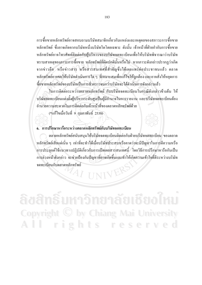ึการซื้อขายหลักทรัพย์อาจสอบถามบริษัทสมาชิกเกี่ยวกับแหล่งและเหตุผลของสภาวะการซื้อขาย หลักทรัพย์ ซึ่งอาจเกิดจากบริษัทหนึ่งบริษัทใดโดยเฉพาะ ดังนั้น เจ้าหน้าที่ฝ่ายกำกับการซื้อขาย หลักทรัพย์อาจโทรศัพท์ติดต่อกับผู้บริหารของบริษัทจดทะเบียนเพื่อให้บริษัทพิจารณาว่าบริษัท ิทราบสาเหตุของภาวะการซื้อขาย หลักทรัพย์ที่ผิดปกตินั้นหรือไม่ หากภาวะดังกล่าวปรากฏว่าเกิด ึ่งากข่าวถือ หรือข่าวสาร หรือสารสนเทศที่สำคัญซึ่งใด้เผยแพร่ต่อประชาชนแล้ว ตลาด หลักทรัพย์อาจขอให้บริษัทคำเนินการใด ๆ ที่เหมาะสมเพื่อแก้ไขให้ถูกต้อง และอาจสั่งให้หยุดการ ซื้อขายหลักทรัพย์ของบริษัทเป็นการชั่วคราวจนกว่าบริษัทจะได้ดำเนินการดังกล่าวแล้ว

ในการติดต่อระหว่างตลาดหลักทรัพย์ กับบริษัทจดทะเบียนในกรณีดังกล่าวข้างต้น ให้ บริษัทจดทะเบียนแต่งตั้งผู้บริหารระดับสูงเป็นผู้มีอำนาจในการรายงาน และบริษัทจดทะเบียนต้อง อำบวยความสะดวกใบการติดต่อกับเจ้าหน้าที่ของตกาดหลักทรัพย์ด้วย

(\*แก้ไขเมื่อวันที่ 9 กมภาพันธ์ 2538)

### 6. การปรึกษาหารือระหว่างตลาดหลักทรัพย์กับบริษัทจดทะเบียน

็ตถาดหลักทรัพย์สนับสนนให้บริษัทจดทะเบียนติดต่อกับฝ่ายบริษัทจดทะเบียน ของตลาด ่ หลักทรัพย์เสียแต่เนิ่น ๆ เท่าที่จะทำได้เมื่อบริษัทประสบหรือกาดว่าจะมีปัญหาในการตีกวามหรือ ้การประยุกต์ใช้แนวทางปฏิบัติเกี่ยวกับการเปิดเผยสารสนเทศนี้ โดยวิธีการปรึกษาหารือกันเป็น การล่วงหน้าดังกล่าว จะช่วยป้องกันปัญหาที่อาจเกิดขึ้นและทำให้เกิดความเข้าใจที่ดีระหว่างบริษัท จดทะเบียนกับตลาดหลักทรัพย์

© by Chiang Mai University Copyright All rights reserved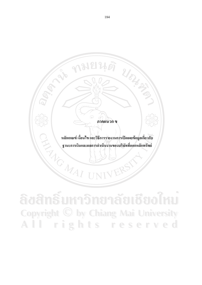#### ภาคผนวก ข

URIS MA

หลักเกณฑ์ เงื่อนไข และวิธีการรายงานการเปิดเผยข้อมูลเกี่ยวกับ **FARGATAI** ฐานะการเงินและผลการดำเนินงานของบริษัทที่ออกหลักทรัพย์

ลิขสิทธิ์มหาวิทยาลัยเชียงไหม Copyright © by Chiang Mai University All rights reserved

**เมยนดุ** 

CAN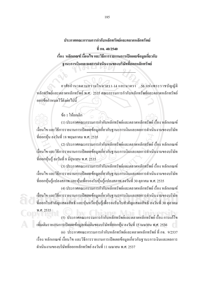ประกาศคณะกรรมการกำกับหลักทรัพย์และตลาดหลักทรัพย์ ที่ กจ. 40/2540 ้เรื่อง หลักเกณฑ์ เงื่อนไข และวิธีการรายงานการเปิดเผยข้อมูลเกี่ยวกับ ฐานะการเงินและผลการดำเนินงานของบริษัทที่ออกหลักทรัพย์

อาศัยอำนาจตามความในมาตรา 14 และมาตรา 56 แห่งพระราชบัญญัติ หลักทรัพย์และตลาดหลักทรัพย์ พ.ศ. 2535 คณะกรรมการกำกับหลักทรัพย์และตลาดหลักทรัพย์ ออกข้อกำหนดไว้ดังต่อไปนี้

#### ข้อ 1 ให้ยกเลิก

(1) ประกาศคณะกรรมการกำกับหลักทรัพย์และตลาดหลักทรัพย์ เรื่อง หลักเกณฑ์ เงื่อนไข และวิธีการรายงานการเปิดเผยข้อมูลเกี่ยวกับฐานะการเงินและผลการคำเนินงานของบริษัท ที่ออกหุ้น ลงวันที่ 18 พฤษภาคม พ.ศ. 2535

(2) ประกาศคณะกรรมการกำกับหลักทรัพย์และตลาดหลักทรัพย์ เรื่อง หลักเกณฑ์ เงื่อนไข และวิธีการรายงานการเปิดเผยข้อมูลเกี่ยวกับฐานะการเงินและผลการคำเนินงานของบริษัท ที่ออกหุ้นกู้ ลงวันที่ 8 มิถุนายน พ.ศ. 2535

(3) ประกาศคณะกรรมการกำกับหลักทรัพย์และตลาดหลักทรัพย์ เรื่อง หลักเกณฑ์ เงื่อนไข และวิธีการรายงานการเปิดเผยข้อมูลเกี่ยวกับฐานะการเงินและผลการดำเนินงานของบริษัท ที่ออกหุ้นกู้แปลงสภาพ และหุ้นเพื่อรองรับหุ้นกู้แปลงสภาพ ลงวันที่ 30 ตุลาคม พ.ศ. 2535

(4) ประกาศคณะกรรมการกำกับหลักทรัพย์และตลาดหลักทรัพย์ เรื่อง หลักเกณฑ์ เงื่อนไข และวิธีการรายงานการเปิดเผยข้อมูลเกี่ยวกับฐานะการเงินและผลการคำเนินงานของบริษัท ที่ออกใบสำคัญแสดงสิทธิ และหุ้นหรือหุ้นกู้เพื่อรองรับใบสำคัญแสดงสิทธิ ลงวันที่ 30 ตุลาคม

้<br>(5) ประกาศคณะกรรมการกำกับหลักทรัพย์และตลาดหลักทรัพย์ เรื่อง การแก้ไข ้ เพิ่มเติมรายงานการเปิดเผยข้อมลเพิ่มเติมของบริษัทที่ออกหัน ลงวันที่ 15 เมษายน พ.ศ. 2536

(6) ประกาศคณะกรรมการกำกับหลักทรัพย์และตลาดหลักทรัพย์ ที่ กจ. 9/2537 ้เรื่อง หลักเกณฑ์ เงื่อนไข และวิธีการรายงานการเปิดเผยข้อมลเกี่ยวกับฐานะการเงินและผลการ ี ดำเบินงานของบริษัทที่ออกหลักทรัพย์ ลงวันที่ 11 เมษายน พ.ศ. 2537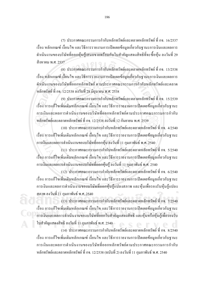(7) ประกาศคณะกรรมการกำกับหลักทรัพย์และตลาดหลักทรัพย์ ที่ กจ. 16/2537 เรื่อง หลักเกณฑ์ เงื่อนไข และวิธีการรายงานการเปิดเผยข้อมูลเกี่ยวกับฐานะการเงินและผลการ ดำเนินงานของบริษัทที่ออกหุ้นกู้เสนอขายพร้อมกับใบสำคัญแสดงสิทธิที่จะซื้อหุ้น ลงวันที่ 29 สิงหาคม พ.ศ. 2537

(8) ประกาศคณะกรรมการกำกับหลักทรัพย์และตลาดหลักทรัพย์ ที่ กจ. 13/2538 เรื่อง หลักเกณฑ์ เงื่อนไข และวิธีการรายงานการเปิดเผยข้อมูลเกี่ยวกับฐานะการเงินและผลการ คำเนินงานของบริษัทที่ออกหลักทรัพย์ ตามประกาศคณะกรรมการกำกับหลักทรัพย์และตลาด ี หลักทรัพย์ ที่ กจ. 12/2538 ลงวันที่ 28 มิถุนายน พ.ศ. 2538

(9) ประกาศคณะกรรมการกำกับหลักทรัพย์และตลาดหลักทรัพย์ ที่ กจ. 15/2539 เรื่อง การแก้ไขเพิ่มเติมหลักเกณฑ์ เงื่อนไข และวิธีการรายงานการเปิดเผยข้อมูลเกี่ยวกับฐานะ การเงินและผลการคำเนินงานของบริษัทที่ออกหลักทรัพย์ตามประกาศคณะกรรมการกำกับ หลักทรัพย์และตลาดหลักทรัพย์ ที่ กจ. 12/2538 ลงวันที่ 12 กันยายน พ.ศ. 2539

(10) ประกาศคณะกรรมการกำกับหลักทรัพย์และตลาดหลักทรัพย์ ที่ กจ. 4/2540 เรื่อง การแก้ไขเพิ่มเติมหลักเกณฑ์ เงื่อนไข และวิธีการรายงานการเปิดเผยข้อมูลเกี่ยวกับฐานะ ,การเงินและผลการคำเนินงานของบริษัทที่ออกหุ้น ลงวันที่ 11 กุมภาพันธ์ พ.ศ. 2540

 $\left( 11\right) \; 1$ ระกาศคณะกรรมการกำกับหลักทรัพย์และตลาดหลักทรัพย์ ที่ กจ. 5/2540 เรื่อง การแก้ไขเพิ่มเติมหลักเกณฑ์ เงื่อนไข และวิธีการรายงานการเปิดเผยข้อมูลเกี่ยวกับฐานะ ึการเงินและผลการดำเนินงานของบริษัทที่ออกหุ้นกู้ ลงวันที่ 11 กุมภาพันธ์ พ.ศ. 2540

(12) ประกาศคณะกรรมการกำกับหลักทรัพย์และตลาดหลักทรัพย์ ที่ กจ.  $\,$  6/2540  $\,$ เรื่อง การแก้ไขเพิ่มเติมหลักเกณฑ์ เงื่อนไข และวิธีการรายงานการเปิดเผยข้อมูลเกี่ยวกับฐานะ การเงินและผลการคำเนินงานของบริษัทที่ออกหุ้นกู้แปลงสภาพ และหุ้นเพื่อรองรับหุ้นกู้แปลง  $\,$ สภาพ ลงวันที่ 11 กุมภาพันธ์ พ.ศ. 2540

(13) ประกาศคณะกรรมการกำกับหลักทรัพย์และตลาดหลักทรัพย์ ที่ กจ. *7*/2540 , สภาพ ลงวันที่ 11 กุมภาพันธ์ พ.ศ. 2540<br>- 13) ประกาศคณะกรรมการกำกับหลักทรัพย์และตลาดหลักทรัพย์ ที่ กจ. *7/25*40<br>- เรื่อง การแก้ไขเพิ่มเติมหลักเกณฑ์ เงื่อนไข และวิธีการรายงานการเปิดเผยข้อมูลเกี่ยวกับฐานะ , เรื่อง การแก้ไขเพิ่มเติมหลักเกณฑ์ เงื่อนไข และวิธีการรายงานการเปิดเผยข้อมูลเกี่ยวกับฐานะ<br>- คารเงินและผลการคำเนินงานของบริษัทที่ออกใบสำคัญแสดงสิทธิ และหุ้นหรือหุ้นกู้เพื่อรองรับ ใบสำคัญแสดงสิทธิ์ ลงวันที่ 11 กุมภาพันธ์ พ.ศ. 2540 ์<br>1บสำคัญแสดงสิทธิ์ ลงวันที่ 11 กุมภาพันธ์ พ.ศ. 2540<br>(14) ประกาศคณะกรรมการกำกับหลักทรัพย์และตลาดหลักทรัพย์ ที่ กจ. 8/2540 **ÅÔ¢ÊÔ·¸ÔìÁËÒÇÔ·ÂÒÅÑÂàªÕ§ãËÁè**

เรื่อง การแก้ไขเพิ่มเติมหลักเกณฑ์ เงื่อนไข และวิธีการรายงานการเปิดเผยข้อมูลเกี่ยวกับฐานะ การเงินและผลการคำเนินงานของบริษัทที่ออกหลักทรัพย์ตามประกาศคณะกรรมการกำกับ หลักทรัพย์และตลาดหลักทรัพย์ ที่ กจ. 12/2538 (ฉบับที่ 2) ลงวันที่ 11 กุมภาพันธ์ พ.ศ. 2540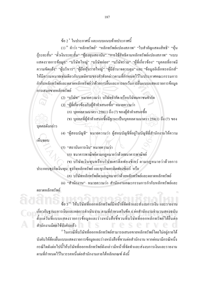์ข้อ 2 <sup>9</sup> ใบประกาศนี้ และแบบแบบท้ายประกาศนี้

(1) <sup>19</sup> คำว่า "หลักทรัพย์" "หลักทรัพย์แปลงสภาพ" "ใบสำคัญแสดงสิทธิ" "หุ้น กู้ระยะสั้น" "ตั๋วเงินระยะสั้น" "ผู้ลงทุนสถาบัน" "การใช้สิทธิตามหลักทรัพย์แปลงสภาพ" "แบบ แสดงรายการข้อมูล" "บริษัทใหญ่" "บริษัทย่อย" "บริษัทร่วม" "ผู้ที่เกี่ยวข้อง" "บุคคลที่อาจมี ้ความขัดแย้ง" "ผู้บริหาร" "ผู้ถือหุ้นรายใหญ่" "ผู้มีอำนาจควบคุม"และ "ข้อมูลอิเล็กทรอนิกส์" ให้มีความหมายเช่นเดียวกับบทนิยามของคำดังกล่าวตามที่กำหนดไว้ในประกาศคณะกรรมการ กำกับหลักทรัพย์และตลาดหลักทรัพย์ว่าด้วยการขึ้นและการยกเว้นการขึ้นแบบแสดงรายการข้อมล การเสนอขายหลักทรัพย์

(2) "บริษัท" หมายความว่า บริษัทจำกัด หรือบริษัทมหาชนจำกัด

(3) "ผู้ที่เกี่ยวข้องกับผู้ทำคำเสนอซื้อ" หมายความว่า

- (ก) บุคคลตามมาตรา 258(1) ถึง (7) ของผู้ทำคำเสนอซื้อ
- (ข) บุคคลที่ผู้ทำคำเสนอซื้อมีฐานะเป็นบุคคลตามมาตรา 258(1) ถึง (7) ของ

บุคคลดังกล่าว

(4) "ผู้สอบบัญชี" หมายความว่า ผู้สอบบัญชีที่อยู่ในบัญชีที่สำนักงานให้ความ

เห็นชอบ

(5) "สถาบันการเงิน" หมายความว่า

(ก) ธนาคารพาณิชย์ตามกฎหมายว่าด้วยธนาคารพาณิชย์

(ข) บริษัทเงินทุนหรือบริษัทเครดิตฟองซิเอร์ ตามกฎหมายว่าด้วยการ ประกอบธุรกิจเงินทุน ธุรกิจหลักทรัพย์ และธุรกิจเครคิตฟองซิเอร์ หรือ

(ค) บริษัทหลักทรัพย์ตามกฎหมายว่าด้วยหลักทรัพย์และตลาดหลักทรัพย์

(6) "สำนักงาน" หมายความว่า สำนักงานคณะกรรมการกำกับหลักทรัพย์และ ็ตลาดหลักทรัพย์

ข้อ 3<sup>19</sup> ให้บริษัทที่ออกหลักทรัพย์มีหน้าที่จัดทำและส่งงบการเงิน และรายงาน เกี่ยวกับฐานะการเงินและผลการดำเนินงาน ตามที่กำหนดในข้อ 4 ต่อสำนักงานจำนวนสองฉบับ ดั้งแต่วันที่แบบแสดงรายการข้อมูลและร่างหนังสือชี้ชวนที่บริษัทที่ออกหลักทรัพย์ได้ยื่นต่อ สำนักงานมีผลใช้บังคับแล้ว

 $^{15}$ ในกรณีที่บริษัทที่ออกหลักทรัพย์สามารถเสนอขายหลักทรัพย์โดยไม่อย่ภายใต้ ้บังคับให้ต้องขึ้นแบบแสดงรายการข้อมูลและร่างหนังสือชี้ชวนต่อสำนักงาน หากต่อมามีกรณีหนึ่ง ึกรณีใดดังต่อไปนี้ให้บริษัทที่ออกหลักทรัพย์ดังกล่าวมีหน้าที่จัดทำและส่งงบการเงินและรายงาน ้ตามที่กำหนดไว้ในวรรคหนึ่งต่อสำนักงานภายใต้หลักเกณฑ์ ดังนี้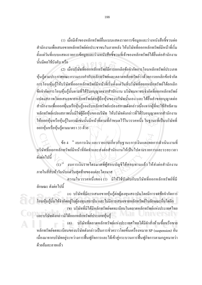(1) เมื่อมีเจ้าของหลักทรัพย์ขึ้นแบบแสดงรายการข้อมูลและร่างหนังสือชี้ชวนต่อ ี สำนักงานเพื่อเสนอขายหลักทรัพย์ต่อประชาชนในภายหลัง ให้บริษัทที่ออกหลักทรัพย์มีหน้าที่เริ่ม ดั้งแต่วันที่แบบแสคงรายการข้อมูลและร่างหนังสือชี้ชวนที่เจ้าของหลักทรัพย์ได้ยื่นต่อสำนักงาน นั้นมีผลใช้บังคับ หรือ

(2) เมื่อบริษัทที่ออกหลักทรัพย์มีการยกเลิกข้อจำกัดการโอนหลักทรัพย์ประเภท หุ้นกู้ตามประกาศคณะกรรมการกำกับหลักทรัพย์และตลาดหลักทรัพย์ว่าด้วยการยกเลิกข้อจำกัด ึการโอนหุ้นกู้ให้บริษัทที่ออกหลักทรัพย์มีหน้าที่เริ่มตั้งแต่วันที่บริษัทที่ออกหลักทรัพย์ใด้ยกเลิก ้ข้อจำกัดการโอนหุ้นกู้นั้นตามที่ได้รับอนุญาตจากสำนักงาน บริษัทมหาชนจำกัดที่ออกหลักทรัพย์ แปลงสภาพโดยเสนอขายหลักทรัพย์ต่อผู้ถือหุ้นของบริษัทนั้นเอง และ ได้ยื่นคำขออนุญาตต่อ สำนักงานเพื่อออกหุ้นหรือหุ้นกู้รองรับหลักทรัพย์แปลงสภาพดังกล่าวเนื่องจากผู้ที่จะใช้สิทธิตาม หลักทรัพย์แปลงสภาพนั้นมิใช่ผู้ถือหุ้นของบริษัท ให้บริษัทดังกล่าวที่ได้รับอนุญาตจากสำนักงาน ให้ออกหุ้นหรือหุ้นกู้ในกรณีเช่นนั้นมีหน้าที่ตามที่กำหนดไว้ในวรรคหนึ่ง ในฐานะที่เป็นบริษัทที่ ้ออกหุ้นหรือหุ้นกู้ตามมาตรา 33 ด้วย

ข้อ 4  $^{-16}$ งบการเงิน และรายงานเกี่ยวกับฐานะการเงินและผลการคำเนินงานที่ บริษัทที่ออกหลักทรัพย์มีหน้าที่จัดทำและส่งต่อสำนักงานให้เป็นไปตามรายการและระยะเวลา ดังต่อไปนี้

งบการเงินรายใตรมาสที่ผู้สอบบัญชีใด้สอบทานแล้ว ให้ส่งต่อสำนักงาน  $(1)^{16}$ ภายในสี่สิบห้าวันนับแต่วันสุดท้ายของแต่ละไตรมาส

ความในวรรคหนึ่งของ (1) มิให้ใช้บังคับกับบริษัทที่ออกหลักทรัพย์ที่มี ้กักษณะ ดังต่อไปบี้

(ก) บริษัทที่มีการเสนอขายหุ้นกู้ต่อผู้ลงทุนสถาบันโดยมีการจดข้อจำกัดการ โอนหุ้นกู้นั้นให้จำกัดอยู่ในผู้ลงทุนสถาบัน และไม่มีการเสนอขายหลักทรัพย์ในลักษณะอื่นใดอีก (ข) บริษัทที่มิได้มีหลักทรัพย์จดทะเบียนในตลาดหลักทรัพย์แห่งประเทศไทย

และบริษัทดังกล่าวมิได้ออกหลักทรัพย์ประเภทหุ้นกู้

(ค) บริษัทที่ตลาดหลักทรัพย์แห่งประเทศไทยได้มีคำสั่งห้ามซื้อหรือขาย หลักทรัพย์จดทะเบียนของบริษัทดังกล่าวเป็นการชั่วคราวโดยขึ้นเครื่องหมาย SP (suspension) อัน เนื่องมาจากบริษัทอยู่ระหว่างการฟื้นฟูกิจการและได้เข้าสู่กระบวนการฟื้นฟูกิจการตามกฎหมายว่า ด้วยล้มละลายแล้ว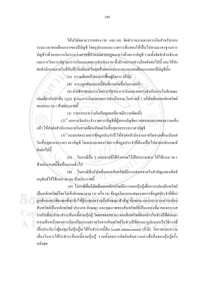ให้บริษัทตามวรรคสอง (ข) และ (ค) จัดทำรายงานทางการเงินสำหรับรอบ ้ระยะเวลาหกเดือนแรกของปีบัญชี โดยรูปแบบและรายการที่แสดงให้เป็นไปตามมาตรฐานการ ้บัญชีว่าด้วยงบการเงินระหว่างกาลที่กำหนดตามกฎหมายว่าด้วยการบัญชี รวมทั้งจัดทำคำอธิบาย และการวิเคราะห์ฐานะการเงินและผลการดำเนินงาน ซึ่งมีรายการอย่างน้อยดังต่อไปนี้ และให้ส่ง ต่อสำนักงานภายในสี่สิบห้าวันนับแต่วันสุดท้ายของรอบระยะเวลาหกเดือนแรกของปีบัญชีนั้น

ี (ก) ความคืบหน้าของการฟื้นฟูกิจการ (ถ้ามี)

(ข) ภาระผูกพันและหนี้สินที่อาจเกิดขึ้นในภายหน้า

(ค) คำอธิบายและการวิเคราะห์ฐานะการเงินและผลการดำเนินงานในลักษณะ ้เช่นเดียวกับหัวข้อ 12(2) ฐานะการเงินและผลการคำเนินงาน ในส่วนที่ 2 บริษัทที่ออกหลักทรัพย์ ของแบบ 56-1 ท้ายประกาศบี้

(ง) รายการระหว่างกันกับบุคคลที่อาจมีความขัดแย้ง

(2)<sup>16</sup> งบการเงินประจำงวดการบัญชีที่ผู้สอบบัญชีตรวจสอบและแสดงความเห็น แล้ว ให้ส่งต่อสำนักงานภายในสามเดือนนับแต่วันสิ้นสุดรอบระยะเวลาบัญชี

 $(3)^{16}$ แบบแสดงรายการข้อมูลประจำปี ให้ส่งต่อสำนักงานภายในสามเดือนนับแต่ ้วันสิ้นสุดรอบระยะเวลาบัญชี โดยแบบแสดงรายการข้อมูลประจำปีต้องเป็นไปตามหลักเกณฑ์ ดังต่อไปนี้

(ก) ในกรณีอื่น ๆ นอกจากที่ได้กำหนดไว้เป็นการเฉพาะ ให้ใช้แบบ 56-1 ท้ายประกาศนี้ซึ่งเป็นแบบทั่วไป

(ข) ในกรณีที่บริษัทที่ออกหลักทรัพย์มีการเสนอขายใบสำคัญแสดงสิทธิ อนุพันธ์ให้ใช้แบบ 56-dw ท้ายประกาศนี้

(ค) ในกรณีที่บริษัทที่ออกหลักทรัพย์มีการออกหุ้นกู้เพื่อการแปลงสินทรัพย์ ้เป็นหลักทรัพย์โดยใม่เข้าลักษณะตาม (ง) หรือ (จ) ข้อมูลในแบบแสดงรายการข้อมูลประจำปีด้อง ี่ถูกต้องและเพียงพอที่จะทำให้ผู้ลงทุนทราบถึงลักษณะสำคัญ ขั้นตอน และกระบวนการแปลง ี่ สินทรัพย์เป็นหลักทรัพย์ ประเภท ลักษณะ และคุณภาพของสินทรัพย์ที่เป็นแหล่งที่มาของกระแส ้รายรับที่จะนำมาชำระคืนหนี้ตามหุ้นกู้ โดยแสดงสถานะของสินทรัพย์ดังกล่าวในช่วงปีที่ผ่านมา ้ความคืบหน้าของการเรียกเก็บกระแสรายรับจากสินทรัพย์ในช่วงปีที่ผ่านมารูปแบบหรือวิธีการที่ เป็นประกันว่าผู้ลงทุนในหุ้นกู้จะได้รับชำระหนี้คืน (credit enhancement) (ถ้ามี) โอกาสและความ เสี่ยงในการได้รับชำระคืนหนี้ตามหุ้นกู้ รวมทั้งผลการจัดอันดับความน่าเชื่อถือของหุ้นกู้ครั้ง หลังสุด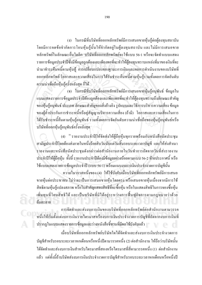(ง) ในกรณีที่บริษัทที่ออกหลักทรัพย์มีการเสนอขายหุ้นกู้ต่อผู้ลงทุนสถาบัน โดยมีการจดข้อจำกัดการโอนหุ้นกู้นั้นให้จำกัดอยู่ในผู้ลงทุนสถาบัน และไม่มีการเสนอขาย หลักทรัพย์ในลักษณะอื่นใคอีก บริษัทที่ออกหลักทรัพย์จะใช้แบบ 56-1 หรือจะจัดทำแบบแสดง รายการข้อมูลประจำปีซึ่งมีข้อมูลถูกต้องและเพียงพอที่จะทำให้ผู้ลงทุนทราบแหล่งที่มาของเงินที่จะ นำมาชำระคืนหนี้ตามหุ้นกู้ การเปลี่ยนแปลงของฐานะการเงินและผลการคำเนินงานของบริษัทที่ ้ออกหลักทรัพย์ โอกาสและความเสี่ยงในการได้รับชำระคืนหนี้ตามหุ้นกู้รวมทั้งผลการจัดอันดับ ความน่าเชื่อถือหุ้นกู้ครั้งหลังสุด ก็ได้

(จ) ในกรณีที่บริษัทที่ออกหลักทรัพย์มีการเสนอขายหันก้อนพันธ์ ข้อมลใน แบบแสดงรายการข้อมูลประจำปีต้องถูกต้องและเพียงพอที่จะทำให้ผู้ลงทุนทราบถึงลักษณะสำคัญ ของหุ้นกู้อนุพันธ์ ประเภท ลักษณะสำคัญของสิ่งอ้างอิง รูปแบบและวิธีการบริหารความเสี่ยง ข้อมูล ของผู้ค้ำประกันการชำระหนี้หรือคู่สัญญาบริหารความเสี่ยง (ถ้ามี) โอกาสและความเสี่ยงในการ ใค้รับชำระหนี้คืนตามหุ้นกู้อนุพันธ์ รวมทั้งผลการจัดอันดับความน่าเชื่อถือของหุ้นกู้อนุพันธ์หรือ บริษัทที่ออกหุ้นกู้อนุพันธ์ครั้งหลังสุด

(4) <sup>16</sup> รายงานประจำปีให้จัดส่งให้ผู้ถือหุ้นทุกรายพร้อมกับหนังสือนัดประชุม ี่ สามัญประจำปีโดยต้องส่งภายในหนึ่งร้อยสิบวันนับแต่วันสิ้นรอบระยะเวลาบัญชี และให้ส่งสำเนา รายงานและหนังสือนัดประชุมดังกล่าวต่อสำนักงานภายในวันทำการถัดจากวันที่ส่งรายงาน ประจำปีให้ผู้ถือหุ้น ทั้งนี้ รายงานประจำปีด้องมีข้อมูลอย่างน้อยตามแบบ 56-2 ท้ายประกาศนี้ หรือ

ใช้แบบแสดงรายการข้อมูลประจำปี (แบบ 56-1) พร้อมแนบงบการเงินประจำงวดการบัญชีนั้น ี ความในวรรคหนึ่งของ (4) ให้ใช้บังคับเมื่อบริษัทที่ออกหลักทรัพย์มีการเสนอ ขายหุ้นต่อประชาชน ไม่ว่าจะเป็นการเสนอขายหุ้นโดยตรง หรือเสนอขายหุ้นเนื่องจากมีการใช้ ่ สิทธิตามหุ้นกู้แปลงสภาพ หรือใบสำคัญแสดงสิทธิที่จะซื้อหุ้น หรือใบแสดงสิทธิในการจองซื้อหุ้น ้เพิ่มทุนที่โอนสิทธิได้ และเป็นบริษัทที่มิได้อยู่ระหว่างการฟื้นฟูกิจการตามกฎหมายว่าด้วย <u>ส้มละลาย พระพ</u>

การจัดทำและส่งงบการเงินของบริษัทที่ออกหลักทรัพย์ต่อสำนักงานตามวรรค หนึ่งให้เริ่มตั้งแต่งบการเงินรายใตรมาสหรืองบการเงินประจำงวดการบัญชีที่ถัดจากงบการเงินที่ ปรากฏในแบบแสดงรายการข้อมูลและร่างหนังสือชี้ชวนที่มีผลใช้บังคับแล้ว

เมื่อบริษัทที่ออกหลักทรัพย์บริษัทใดได้จัดทำและส่งงบการเงินประจำงวดการ บัญชีสำหรับรอบระยะเวลาหกเคือนหรือหนึ่งปีตามวรรคหนึ่ง (2) ต่อสำนักงาน ให้ถือว่าบริษัทนั้น ใด้จัดทำและส่งงบการเงินสำหรับไตรมาสที่สองหรือไตรมาสที่สี่ตามวรรคหนึ่ง (1) ต่อสำนักงาน แล้ว แต่ทั้งนี้ถ้าบริษัทส่งงบการเงินประจำงวดการบัญชีสำหรับรอบระยะเวลาหกเดือนหรือหนึ่งปี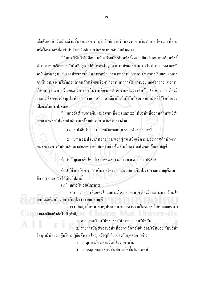เมื่อพ้นหกสิบวันนับแต่วันสิ้นสุดงวดการบัญชี ให้ถือว่าบริษัทส่งงบการเงินสำหรับใตรมาสที่สอง หรือไตรมาสที่สี่ล่าช้านับตั้งแต่วันถัดจากวันที่ครบหกสิบวันดังกล่าว

 $^{10}$ ในกรณีที่บริษัทที่ออกหลักทรัพย์มีหลักทรัพย์จดทะเบียนในตลาดหลักทรัพย์ ้ต่างประเทศหรือตลาดอื่นใดที่อยู่ภายใต้การกำกับดูแลของหน่วยงานทางการในต่างประเทศ และมี หน้าที่ตามกฎหมายของประเทศนั้นในการจัดทำและส่งรายงานเกี่ยวกับฐานะการเงินและผลการ ้คำเนินงานของบริษัทต่อตลาดหลักทรัพย์หรือหน่วยงานทางการในต่างประเทศดังกล่าว รายงาน ีเกี่ยวกับฐานะการเงินและผลการคำเนินงานที่ส่งต่อสำนักงานตามวรรคหนึ่ง (3) และ (4) ต้องมี ้รายละเอียดของข้อมูล ไม่น้อยกว่ารายงานทำนองเดียวกันที่บริษัทที่ออกหลักทรัพย์ใด้จัดทำและ เปิดเผยในต่างประเทศ

<sup>18</sup> ในการจัดส่งงบการเงินตามวรรคหนึ่ง (1) และ (2) ให้บริษัทที่ออกหลักทรัพย์ส่ง เอกสารดังต่อไปนี้ต่อสำนักงานพร้อมกับงบการเงินดังกล่าวด้วย

> หนังสือรับรองงบการเงินตามแบบ 56-3 ท้ายประกาศนี้  $(1)$

(2) บทสรุปประเภทรายงานของผู้สอบบัญชีตามประกาศสำนักงาน คณะกรรมการกำกับหลักทรัพย์และตลาดหลักทรัพย์ว่าด้วยการให้ความเห็นชอบผู้สอบบัญชี

์ ข้อ 4/1" ถูกยกเลิกโดยประกาศคณะกรรมการ ก.ล.ต. ที่ กจ. 6/2546

ข้อ 5 วิธีการจัดทำงบการเงินรายใตรมาสและงบการเงินประจำงวดการบัญชีตาม ข้อ 4 (1) และ (2) ให้เป็นไปดังนี้

 $(1)^{16}$ งบการเงินรายไตรมาส

รายการที่แสดงในงบการเงินรายใตรมาส ต้องมีรายการครบถ้วนใน  $(n)$ ลักษณะเดียวกับงบการเงินประจำงวดการบัญชี

(ข) ข้อมูลในหมายเหตุประกอบงบการเงินรายใตรมาส ให้เปิดเผยเฉพาะ รายละเอียดดังต่อไปนี้ (ถ้ามี)

1. การลงทุนในบริษัทย่อย บริษัทร่วม และบริษัทอื่น

) 2. รายการบัญชีของบริษัทที่ออกหลักทรัพย์หรือบริษัทย่อย กับบริษัท ใหญ่ บริษัทร่วม ผู้บริหาร ผู้ถือหุ้นรายใหญ่ หรือผู้ที่เกี่ยวข้องกับบุคคลดังกล่าว

3. เหตุการณ์ภายหลังวันที่ในงบการเงิน

4. ภาระผูกพันและหนี้สินที่อาจเกิดขึ้นในภายหน้า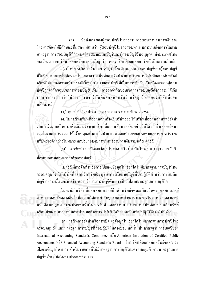ข้อสังเกตของผู้สอบบัญชีในรายงานการสอบทานงบการเงินราย  $(n)$ ใตรมาสต้องใม่มีลักษณะที่แสดงให้เห็นว่า ผู้สอบบัญชีใม่อาจสอบทานงบการเงินดังกล่าวได้ตาม ้ มาตรฐานการสอบบัญชีที่กำหนดโดยสมาคมนักบัญชีและผู้สอบบัญชีรับอนุญาตแห่งประเทศไทย ้อันเนื่องมาจากบริษัทที่ออกหลักทรัพย์หรือผู้บริหารของบริษัทที่ออกหลักทรัพย์ไม่ให้ความร่วมมือ  $\left(2\right)^{16}$ งบการเงินประจำงวดการบัญชี ต้องมีรายงานการสอบบัญชีของผู้สอบบัญชี

ี่ที่ไม่มีความหมายในลักษณะไม่แสดงความเห็นต่อการจัดทำงบการเงินของบริษัทที่ออกหลักทรัพย์ หรือที่ไม่แสดงความเห็นอย่างมีเงื่อนไขในรายการบัญชีที่เป็นสาระสำคัญ อันเนื่องมาจากผู้สอบ ้บัญชีถูกจำกัดขอบเขตการสอบบัญชี เว้นแต่การถูกจำกัดขอบเขตการสอบบัญชีดังกล่าวมิได้เกิด จากการกระทำหรือไม่กระทำของบริษัทที่ออกหลักทรัพย์ หรือผู้บริหารของบริษัทที่ออก หลักทรัพย์

 $(3)^8$  ถูกยกเลิกโคยประกาศคณะกรรมการ ก.ล.ต.ที่ กจ.25/2543

(4) ในกรณีที่บริษัทที่ออกหลักทรัพย์มีบริษัทย่อย ให้บริษัทที่ออกหลักทรัพย์จัดทำ ึ่งบการเงินรวมเป็นการเพิ่มเติม และหากบริษัทที่ออกหลักทรัพย์ดังกล่าวไม่ได้นำบริษัทย่อยใดมา รวมในงบการเงินรวม ให้แจ้งเหตุผลถึงการไม่นำมารวม และเปิดเผยผลกระทบและงบการเงินของ ้บริษัทย่อยดังกล่าวในหมายเหตุประกอบงบการเงินหรืองบการเงินรวม แล้วแต่กรณี

 $(5)^{10}$  การจัดทำและเปิดเผยข้อมูลในงบการเงินต้องเป็นไปตามมาตรฐานการบัญชี ที่กำหนดตามกฎหมายว่าด้วยการบัญชี

ในกรณีที่การจัดทำหรือการเปิดเผยข้อมูลในเรื่องใดไม่มีมาตรฐานการบัญชีไทย ้ ครอบคลุมถึง ให้บริษัทที่ออกหลักทรัพย์ระบุรายการนโยบายบัญชีที่ใช้ปฏิบัติสำหรับการบันทึก บัญชีรายการนั้น และคำอธิบายว่านโยบายการบัญชีดังกล่าวเป็นไปตามมาตรฐานการบัญชีใด

ในกรณีที่บริษัทที่ออกหลักทรัพย์มีหลักทรัพย์จดทะเบียนในตลาดหลักทรัพย์ ้ต่างประเทศหรือตลาดอื่นใดที่อยู่ภายใต้การกำกับดูแลของหน่วยงานทางการในต่างประเทศ และมี หน้าที่ตามกฎหมายของประเทศนั้นในการจัดทำและส่งงบการเงินของบริษัทต่อตลาดหลักทรัพย์ หรือหน่วยงานทางการในต่างประเทศดังกล่าว ให้บริษัทที่ออกหลักทรัพย์ปฏิบัติดังต่อไปนี้ด้วย

(ก) กรณีที่การจัดทำหรือการเปิดเผยข้อมูลในเรื่องใดไม่มีมาตรฐานการบัญชีไทย ้ครอบคลุมถึง และมาตรฐานการบัญชีที่ถือปฏิบัติในต่างประเทศนั้นเป็นมาตรฐานการบัญชีของ International Accounting Standards Committee หรือ American Institution of Certified Public Accountants หรือ Financial Accounting Standards Board ให้บริษัทที่ออกหลักทรัพย์จัดทำและ ้เปิดเผยข้อมูลในงบการเงินในรายการที่ไม่มีมาตรฐานการบัญชีไทยครอบคลุมถึงตามมาตรฐานการ บัญชีที่ถือปฏิบัติในต่างประเทศดังกล่าว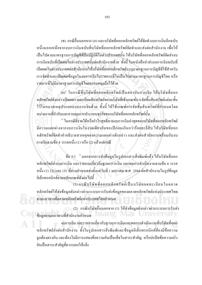(ข) กรณีอื่นนอกจาก (ก) และบริษัทที่ออกหลักทรัพย์ได้จัดทำงบการเงินอีกฉบับ หนึ่งนอกเหนือจากงบการเงินฉบับที่บริษัทที่ออกหลักทรัพย์จัดทำและส่งต่อสำนักงาน เพื่อให้ ้เป็นไปตามมาตรฐานการบัญชีที่ถือปฏิบัติในต่างประเทศนั้น ให้บริษัทที่ออกหลักทรัพย์จัดส่งงบ ้การเงินฉบับที่เปิดเผยในต่างประเทศนั้นต่อสำนักงานด้วย ทั้งนี้ ในหนังสือนำส่งงบการเงินฉบับที่ เปิดเผยในต่างประเทศต่อสำนักงานให้บริษัทที่ออกหลักทรัพย์ระบุมาตรฐานการบัญชีที่ใช้สำหรับ ึการจัดทำและเปิดเผยข้อมูลในงบการเงินในรายการที่ไม่เป็นไปตามมาตรฐานการบัญชีไทย หรือ รายการที่ไม่มีมาตรจานการบัญชีไทยครอบคลมถึงไว้ด้วย

 $(6)^2$ ในกรณีที่บริษัทที่ออกหลักทรัพย์เป็นสถาบันการเงิน ให้บริษัทที่ออก หลักทรัพย์ดังกล่าวเปิดเผยรายละเอียดสินทรัพย์ของบริษัทที่เข้าเกณฑ์การจัดชั้นสินทรัพย์แต่ละชั้น ไว้ในหมายเหตุประกอบงบการเงินด้วย ทั้งนี้ ให้ใช้เกณฑ์การจัดชั้นสินทรัพย์ที่กำหนดโดย หน่วยงานที่กำกับและควบคุมการประกอบธุรกิจของบริษัทที่ออกหลักทรัพย์นั้น

 $^{\,13}$  ในกรณีที่รายได้หรือกำไรสุทธิตามงบการเงินล่าสุดของบริษัทที่ออกหลักทรัพย์ มีความแตกต่างจากงบการเงินในงาดเดียวกันของปีก่อนเกินกว่าร้อยละยี่สิบ ให้บริษัทที่ออก หลักทรัพย์จัดทำคำอธิบายสาเหตุของความแตกต่างดังกล่าว และส่งต่อสำนักงานพร้อมกับงบ ิการเงินตามข้อ 4 วรรคหนึ่ง (1) หรือ (2) แล้วแต่กรณี

ข้อ 5/1  $\,$  นอกจากการส่งข้อมูลในรูปเอกสารสิ่งพิมพ์แล้ว ให้บริษัทที่ออก หลักทรัพย์ส่งงบการเงิน และรายงานเกี่ยวกับฐานะการเงิน และผลการดำเนินงานตามข้อ 4 วรรค หนึ่ง (1) (2) และ (3) ที่ครบกำหนดส่งตั้งแต่วันที่ 1 มกราคม พ.ศ. 2544 ต่อสำนักงานในรูปข้อมูล อิเล็กทรอนิกส์ตามหลักเกณฑ์ดังต่อไปนี้

(1) กรณีบริษัทที่ออกหลักทรัพย์เป็นบริษัทจดทะเบียนในตลาด หลักทรัพย์ให้ส่งข้อมูลดังกล่าวผ่านระบบการรับส่งข้อมูลของตลาดหลักทรัพย์แห่งประเทศไทย ็ตามแนวทางที่ตลาดหลักทรัพย์แห่งประเทศไทยกำหนด

(2) กรณีบริษัทอื่นนอกจาก (1) ให้ส่งข้อมูลคังกล่าวผ่านระบบการรับส่ง ข้อมูลตามแนวทางที่สำนักงานกำหนด

ึงบการเงิน และรายงานเกี่ยวกับฐานะการเงินและผลการดำเนินงานที่บริษัทที่ออก หลักทรัพย์ส่งต่อสำนักงาน ทั้งในรูปเอกสารสิ่งพิมพ์และข้อมูลอิเล็กทรอนิกส์ต้องมีข้อความ ถูกต้องตรงกัน และต้องใม่มีการแสดงข้อความอันเป็นเท็จในสาระสำคัญ หรือปกปิดข้อความจริง อันเป็นสาระสำคัญที่ควรบอกให้แจ้ง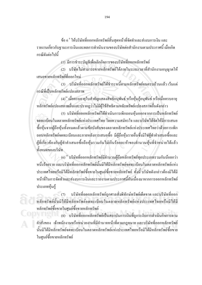ี ข้อ 6 <sup>8</sup> ให้บริษัทที่ออกหลักทรัพย์สิ้นสุดหน้าที่จัดทำและส่งงบการเงิน และ ้ รายงานเกี่ยวกับฐานะการเงินและผลการคำเนินงานของบริษัทต่อสำนักงานตามประกาศนี้ เมื่อเกิด กรณีคังต่อไปนี้

(1) มีการชำระบัญชีเพื่อเลิกกิจการของบริษัทที่ออกหลักทรัพย์

(2) บริษัทไม่สามารถขายหลักทรัพย์ได้ภายในระยะเวลาที่สำนักงานอนุญาตให้ เสบอขายหลักทรัพย์ที่ออกใหม่

(3) บริษัทที่ออกหลักทรัพย์ได้ชำระหนี้ตามหลักทรัพย์จนครบถ้วนแล้ว เว้นแต่ ้กรณีที่เป็นหลักทรัพย์แปลงสภาพ

 $\left(4\right)^{16}$  เมื่อครบอายุใบสำคัญแสดงสิทธิอนุพันธ์ หรือหุ้นกู้อนุพันธ์ หรือเมื่อครบอายุ หลักทรัพย์แปลงสภาพอื่นและปรากฎว่าไม่มีผู้ใช้สิทธิตามหลักทรัพย์แปลงสภาพอื่นดังกล่าว

(5) บริษัทที่ออกหลักทรัพย์ได้ดำเนินการเพิกถอนห้นออกจากการเป็นหลักทรัพย์ จดทะเบียนในตลาดหลักทรัพย์แห่งประเทศไทย โดยความสมัครใจ และบริษัทได้จัดให้มีการเสนอ ซื้อหุ้นจากผู้ถือหุ้นทั้งหมดแล้วตามข้อบังคับของตลาดหลักทรัพย์แห่งประเทศไทยว่าด้วยการเพิก ึถอนหลักทรัพย์จดทะเบียนและภายหลังการเสนอซื้อ มีผู้ถือหุ้นรายอื่นซึ่งมิใช่ผู้ทำคำเสนอซื้อและ ผู้ที่เกี่ยวข้องกับผู้ทำคำเสนอซื้อถือหุ้นรวมกันไม่เกินร้อยละห้าของจำนวนหุ้นที่จำหน่ายได้แล้ว ทั้งหมดของบริษัท

 $\left(6\right)^{16}$ บริษัทที่ออกหลักทรัพย์มีจำนวนผู้ถือหลักทรัพย์ทุกประเภทรวมกันน้อยกว่า หนึ่งร้อยราย และบริษัทที่ออกหลักทรัพย์นั้นมิได้มีหลักทรัพย์จดทะเบียนในตลาดหลักทรัพย์แห่ง ประเทศไทยหรือมิได้มีหลักทรัพย์ซื้อขายในศูนย์ซื้อขายหลักทรัพย์ ทั้งนี้ บริษัทดังกล่าวต้องมิได้มี หน้าที่ในการจัดทำและส่งงบการเงินและรายงานตามประกาศนี้อันเนื่องมาจากการออกหลักทรัพย์ ประเภทห้นก้

ิบริษัทที่ออกหลักทรัพย์ถูกศาลสั่งพิทักษ์ทรัพย์เด็ดขาด และบริษัทที่ออก  $(7)$ หลักทรัพย์นั้นมิได้มีหลักทรัพย์จดทะเบียนในตลาดหลักทรัพย์แห่งประเทศไทยหรือมิได้มี หลักทรัพย์ซื้อขายในศูนย์ซื้อขายหลักทรัพย์

(8) บริษัทที่ออกหลักทรัพย์เป็นสถาบันการเงินที่ถูกระงับการคำเนินกิจการตาม ี คำสั่งของ เจ้าพนักงานหรือหน่วยงานที่มีอำนาจหน้าที่ตามกฎหมาย และบริษัทที่ออกหลักทรัพย์ นั้นมิได้มีหลักทรัพย์จดทะเบียนในตลาดหลักทรัพย์แห่งประเทศไทยหรือมิได้มีหลักทรัพย์ซื้อขาย ในศูนย์ซื้อขายหลักทรัพย์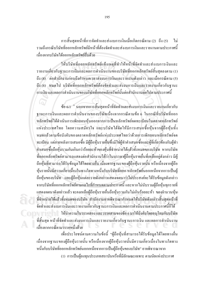ึการสิ้นสุดหน้าที่การจัดทำและส่งงบการเงินเมื่อเกิดกรณีตาม (2) ถึง (5)  $\mathfrak{y}_{1i}$ รวมถึงกรณีบริษัทที่ออกหลักทรัพย์มีหน้าที่ต้องจัดทำและส่งงบการเงินและรายงานตามประกาศนี้ เนื้องจากบริษัทได้ออกหลักทรัพย์อื่นด้วย

ให้บริษัทที่ออกหลักทรัพย์แจ้งเหตุที่ทำให้หน้าที่จัดทำและส่งงบการเงินและ รายงานเกี่ยวกับฐานะการเงินและผลการดำเนินงานของบริษัทที่ออกหลักทรัพย์สิ้นสุดลงตาม (1) ้ถึง (8) ต่อสำนักงานก่อนถึงกำหนดเวลาส่งงบการเงินและรายงานดังกล่าว และเมื่อกรณีตาม (5) ถึง (8) หมดไป บริษัทที่ออกหลักทรัพย์ต้องจัดทำและส่งงบการเงินและรายงานเกี่ยวกับฐานะ ้การเงิน และผลการคำเนินงานของบริษัทที่ออกหลักทรัพย์นั้นต่อสำนักงานต่อไปตามประกาศนี้

ข้อ 6/1  $\,$  นอกจากการสิ้นสุดหน้าที่จัดทำและส่งงบการเงินและรายงานเกี่ยวกับ ฐานะการเงินและผลการคำเนินงานของบริษัทเนื่องจากกรณีตามข้อ 6 ในกรณีที่บริษัทที่ออก หลักทรัพย์ได้ดำเนินการเพิกถอนหุ้นออกจากการเป็นหลักทรัพย์จดทะเบียนในตลาดหลักทรัพย์ แห่งประเทศไทย โดยความสมัครใจ และบริษัทได้จัดให้มีการเสนอซื้อหุ้นจากผู้ถือหุ้นทั้ง หมดแล้วตามข้อบังคับของตลาดหลักทรัพย์แห่งประเทศไทยว่าด้วยการเพิกถอนหลักทรัพย์จด ่ ทะเบียน แต่ภายหลังการเสนอซื้อ มีผู้ถือหุ้นรายอื่นซึ่งมิใช่ผู้ทำคำเสนอซื้อและผู้ที่เกี่ยวข้องกับผู้ทำ ้คำเสนอซื้อถือหุ้นรวมกันเกินกว่าร้อยละห้าของหุ้นที่จำหน่ายได้แล้วทั้งหมดของบริษัท หากบริษัท ที่ออกหลักทรัพย์สามารถแสดงต่อสำนักงานใด้ว่าในบรรดาผู้ถือหุ้นรายอื่นที่เหลืออยู่ดังกล่าว มีผู้ ถือหุ้นที่สามารถได้รับข้อมูลได้โดยทางอื่น เนื่องจากฐานะของผู้ถือหุ้นรายนั้น หรือเนื่องจากผู้ถือ หุ้นรายนั้นมีความเกี่ยวเนื่องในทางใดทางหนึ่งกับบริษัทที่ออก หลักทรัพย์นอกเหนือจากการเป็นผู้ ถือหุ้นของบริษัท และผู้ถือหุ้นแต่ละรายดังกล่าวแสดงเจตนาว่าไม่ประสงค์จะได้รับข้อมูลดังกล่าว ี จากบริษัทที่ออกหลักทรัพย์ตามกลไกที่กำหนดตามประกาศนี้ และหากไม่นับรวมผู้ถือหุ้นทุกรายที่ แสคงเจตนาดังกล่าวแล้ว จะคงเหลือผู้ถือหุ้นรายอื่นถือหุ้นรวมกันไม่เกินร้อยละห้า ของจำนวนหุ้น ที่จำหน่ายได้แล้วทั้งหมดของบริษัท สำนักงานอาจพิจารณากำหนดให้บริษัทดังกล่าวสิ้นสุดหน้าที่

ึ่งัดทำและส่งงบการเงินและรายงานเกี่ยวกับฐานะการเงินและผลการคำเนินงานตามประกาศนี้ก็ได้ ให้นำความในวรรคสอง และวรรคสามของข้อ 6 มาใช้บังคับโดยอนุโลมกับบริษัท ที่สิ้นสุด หน้าที่จัดทำและส่งงบการเงินและรายงานเกี่ยวกับฐานะการเงิน และผลการดำเนินงาน เนื่องจากกรณีตามวรรคหนึ่งด้วย

เพื่อประโยชน์ตามความในข้อนี้ "ผู้ถือหุ้นที่สามารถได้รับข้อมูลได้โดยทางอื่น เนื่องจากฐานะของผู้ถือหุ้นรายนั้น หรือเนื่องจากผู้ถือหุ้นรายนั้นมีความเกี่ยวเนื่องในทางใดทาง หนึ่งกับบริษัทที่ออกหลักทรัพย์นอกเหนือจากการเป็นผู้ถือหุ้นของบริษัท" อาจพิจารณาจาก (1) การเป็นผู้ลงทุนประเภทสถาบันหรือที่มีลักษณะเฉพาะ ตามนัยแห่งประกาศ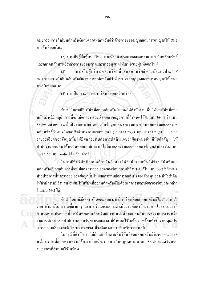ึคณะกรรมการกำกับหลักทรัพย์และตลาดหลักทรัพย์ว่าด้วยการขออนุญาตและการอนุญาตให้เสนอ ขายหุ้นที่ออกใหม่

(2) การเป็นผู้ถือหุ้นรายใหญ่ ตามนัยแห่งประกาศคณะกรรมการกำกับหลักทรัพย์ และตลาดหลักทรัพย์ว่าด้วยการขออนุญาตและการอนุญาตให้เสนอขายหุ้นที่ออกใหม่ ี การเป็นผู้บริหารของบริษัทที่ออกหลักทรัพย์ ตามนัยแห่งประกาศ  $(3)$ ึคณะกรรมการกำกับหลักทรัพย์และตลาดหลักทรัพย์ว่าด้วยการขออนุญาตและการอนุญาตให้เสนอ ขายหุ้นที่ออกใหม่

(4) การเป็นกรรมการของบริษัทที่ออกหลักทรัพย์

้ข้อ 7 <sup>9</sup> ในกรณีที่บริษัทที่ออกหลักทรัพย์แสดงให้สำนักงานเห็นได้ว่าบริษัทที่ออก ิหลักทรัพย์มีเหตุอันควรที่จะไม่แสดงรายละเอียดของข้อมูลตามที่กำหนดไว้ในแบบ 56-1 หรือแบบ 56-dw แล้วแต่กรณีซึ่งเป็นรายการอย่างเดียวกับข้อมลที่คณะกรรมการกำกับหลักทรัพย์และตลาด หลักทรัพย์กำหนดโดยอาศัยอำนาจตามมาตรา 69(11) มาตรา 70(9) และมาตรา 71(5) หาก รายละเอียดของข้อมูลนั้นไม่มีผลกระทบต่อการตัดสินใจของผู้ลงทุนอย่างมีนัยสำคัญ ให้ สำนักงานผ่อนผันให้บริษัทที่ออกหลักทรัพย์ไม่ต้องแสคงรายละเอียดของข้อมูลดังกล่าวในแบบ 56-1 หรือแบบ 56-dw ได้ แล้วแต่กรณี

ในกรณีที่บริษัทที่ออกหลักทรัพย์แสดงให้สำนักงานเห็นได้ว่า บริษัทที่ออก หลักทรัพย์มีเหตุอันควรที่จะไม่แสดงรายละเอียดของข้อมูลตามที่กำหนดไว้ในแบบ 56-2 ที่กำหนด ท้ายประกาศนี้หากรายละเอียดข้อมูลนั้นไม่มีผลกระทบต่อการตัดสินใจของผู้ลงทุนอย่างมีนัยสำคัญ ให้สำนักงานมีอำนาจผ่อนผันให้บริษัทที่ออกหลักทรัพย์ไม่ต้องแสดงรายละเอียดของข้อมูลดังกล่าว <u>ในแบบ 56-2 ได้</u>

ข้อ 8 ในกรณีมีเหตุจำเป็นและสมควรทำให้บริษัทที่ออกหลักทรัพย์ไม่สามารถส่ง งบการเงินหรือรายงานเกี่ยวกับฐานะการเงินและผลการคำเนินงานต่อสำนักงานภายในระยะเวลาที่ ากำหนดตามประกาศนี้ บริษัทที่ออกหลักทรัพย์อาจมีหนังสือขอผ่อนผันการส่งงบการเงินหรือ รายงานดังกล่าวต่อสำนักงานก่อนวันครบระยะเวลาที่กำหนดไว้ในข้อ 4 พร้อมทั้งชี้แจงเหตุผลใน ึการขอผ่อนผันและแจ้งกำหนดระยะเวลาที่จะจัดส่งงบการเงินหรือรายงานนั้น

ในกรณีที่สำนักงานไม่ผ่อนผันให้ตามที่บริษัทที่ออกหลักทรัพย์ร้องขอตามวรรค หนึ่ง บริษัทที่ออกหลักทรัพย์ต้องรับผิดเนื่องจากการไม่ปฏิบัติตามมาตรา 56 นับตั้งแต่วันครบ ระยะเวลาที่กำหนดไว้ในข้อ 4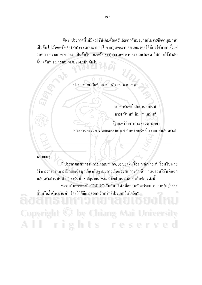ข้อ 9 ประกาศนี้ให้มีผลใช้บังคับตั้งแต่วันถัดจากวันประกาศในราชกิจจานุเบกษา ้เป็นต้นไปเว้นแต่ข้อ 5 (1)(ก) (ข) เฉพาะงบกำไรขาดทุนและงบดุล และ (ค) ให้มีผลใช้บังคับตั้งแต่ วันที่ 1 มกราคม พ.ศ. 2541 เป็นต้นไป และข้อ 5 (1) (ข) เฉพาะงบกระแสเงินสด ให้มีผลใช้บังคับ ้ตั้งแต่วันที่ 1 มกราคม พ.ศ. 2542เป็นต้นไป

ประกาศ ณ วันที่ 28 พฤศจิกายน พ.ศ. 2540

้นายธารินทร์ นิมมานเหมินท์ (นายธารินทร์ นิมมานเหมินท์) รัฐมนตรีว่าการกระทรวงการคลัง ประธานกรรมการ คณะกรรมการกำกับหลักทรัพย์และตลาดหลักทรัพย์

หมายเหตุ

<sup>19</sup> ประกาศคณะกรรมการ กลต. ที่ กจ. 35/2547 เรื่อง หลักเกณฑ์ เงื่อนไข และ วิธีการรายงานการเปิดเผยข้อมูลเกี่ยวกับฐานะการเงินและผลการดำเนินงานของบริษัทที่ออก หลักทรัพย์ (ฉบับที่ 16) ลงวันที่ 15 มิถุนายน 2547 มีข้อกำหนดเพิ่มเติมในข้อ 3 ดังนี้ "ความในวรรคหนึ่งมิให้ใช้บังคับกับบริษัทที่ออกหลักทรัพย์ประเภทหุ้นกู้ระยะ ้สั้นหรือตั๋วเงินระยะสั้น โดยมิได้มีการออกหลักทรัพย์ประเภทอื่นใดอีก"

by Chiang Mai University rights reserved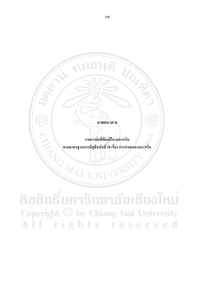

Nous of

RAYONAL รายการย่อที่ต้องมีในงบการเงิน ี ตามมาตรฐานการบัญชีฉบับที่ 35 เรื่อง การนำเสนองบการเงิน

ลิขสิทธิ์มหาวิทยาลัยเชียงไหม **Copyright © by Chiang Mai University** All rights reserved

male

Lab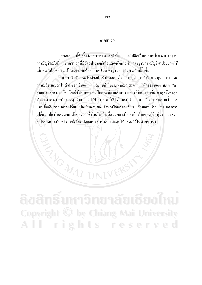#### ภาคผนวก

ิภาคผนวกนี้ทำขึ้นเพื่อเป็นแนวทางเท่านั้น และไม่ถือเป็นส่วนหนึ่งของมาตรฐาน การบัญชีฉบับนี้ ภาคผนวกนี้มีวัตถุประสงค์เพื่อแสดงถึงการนำมาตรฐานการบัญชีมาประยุกต์ใช้ ้เพื่อช่วยให้เกิดความเข้าใจเกี่ยวกับข้อกำหนดในมาตรฐานการบัญชีฉบับนี้อิ่งขึ้น

ึ งบการเงินที่แสดงในตัวอย่างนี้ประกอบด้วย งบดุล งบกำไรขาดทุน งบแสดง การเปลี่ยนแปลงในส่วนของเจ้าของ และงบกำไรขาดทุนเบ็ดเสร็จ ตัวอย่างของงบดุลแสดง รายการแต่ละบรรทัด โดยใช้สภาพคล่องเป็นเกณฑ์ตามลำดับรายการที่มีสภาพคล่องสูงสุดถึงต่ำสุด ้ตัวอย่างของงบกำไรขาดทุนจำแนกค่าใช้จ่ายตามหน้าที่ได้แสดงไว้ 2 แบบ คือ แบบหลายขั้นและ แบบขั้นเดียวส่วนการเปลี่ยนแปลงในส่วนของเจ้าของได้แสดงไว้ 2 ลักษณะ คือ งบแสดงการ เปลี่ยนแปลงในส่วนของเจ้าของ (ซึ่งในตัวอย่างนี้ส่วนของเจ้าของคือส่วนของผู้ถือหุ้น) และงบ ้กำไรขาดทนเบ็ดเสร็จ (ซึ่งต้องเปิดเผยรายการเพิ่มเติมแต่มิได้แสดงไว้ในตัวอย่างนี้)

Copyright **C by Chiang Mai University** rights reserved

**WOMA**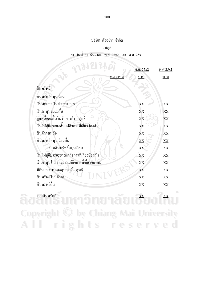#### ำเรินัท ตัวอย่าง จำกัด

#### งบดุล

## ณ วันที่ 31 ธันวาคม พ.ศ. 25x2 และ พ.ศ. 25x1

| 21912                                          |          |           |                   |
|------------------------------------------------|----------|-----------|-------------------|
|                                                |          | พ.ศ. 25x2 | M.R.25x1          |
|                                                | หมายเหตุ | บาท       | บาท               |
|                                                |          |           |                   |
| สินทรัพย์                                      |          |           |                   |
| สินทรัพย์หมุนเวียน                             |          |           |                   |
| เงินสดและเงินฝากธนาคาร                         |          | XX        | XX                |
| เงินลงทุนระยะสั้น                              |          | XX        | XX                |
| ลูกหนี้และตั๋วเงินรับการค้า – สุทธิ<br>∞       |          | XX        | XX                |
| เงินให้กู้ยืมระยะสั้นแก่กิจการที่เกี่ยวข้องกัน |          | XX        | <b>XX</b>         |
| สินค้าคงเหลือ                                  |          | XX        | XX                |
| สินทรัพย์หมุนเวียนอื่น                         |          | XX        | $X\!\overline{X}$ |
| รวมสินทรัพย์หมุนเวียน                          |          | XX        | XX                |
| เงินให้กู้ยืมระยะยาวแก่กิจการที่เกี่ยวข้องกัน  |          | XX        | XX                |
| เงินลงทุนในระยะยาวแก่กิจการที่เกี่ยวข้องกัน    |          | XX        | XX                |
| ที่ดิน อาคารและอุปกรณ์ – สุทธิ                 |          | XX        | XX                |
| สินทรัพย์ไม่มีตัวตน                            |          | XX        | XX                |
| สินทรัพย์อื่น                                  |          | X X       | XX                |
|                                                |          |           |                   |

audurine La Sman as Lors Ex **Copyright © by Chiang Mai University** All rights reserved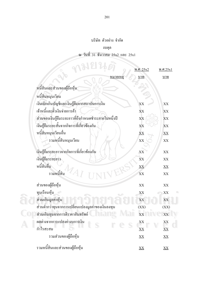# บริษัท ตัวอย่าง จำกัด

# งบคุล

# ณ วันที่ 31 ธันวาคม 25x2 และ 25x1

|                                                      | <u>พ.ศ. 25x2</u>       | M.R.25x1               |
|------------------------------------------------------|------------------------|------------------------|
| <u>หมายเหตุ</u>                                      | <u>บาท</u>             | <u>บาท</u>             |
| หนี้สินและส่วนของผู้ถือหุ้น                          |                        |                        |
| หนี้สินหมุนเวียน                                     |                        |                        |
| เงินเบิกเกินบัญชีและเงินกู้ยืมจากสถาบันการเงิน       | XX                     | $\mathbf{X}\mathbf{X}$ |
| เจ้าหนี้และตั๋วเงินจ่ายการค้า                        | XX                     | XX                     |
| ส่วนของเงินกู้ขึมระยะยาวที่ถึงกำหนดชำระภายในหนึ่งปี  | XX                     | <b>XX</b>              |
| เงินกู้ขึมระยะสั้นจากกิจการที่เกี่ยวข้องกัน          | XX                     | XX                     |
| หนี้สินหมุนเวียนอื่น                                 | XX                     | $\underline{XX}$       |
| รวมหนี้สินหมุนเวียน                                  | XX                     | $\mathbf{X}\mathbf{X}$ |
| เงินกู้ยืมระยะยาวจากกิจการที่เกี่ยวข้องกัน           | $\overline{\text{XX}}$ | $\mathbf{X}\mathbf{X}$ |
| เงินกู้ยืมระยะยาว                                    | XX                     | XX                     |
| หนี้สินอื่น                                          | XX                     | X X                    |
| รวมหนี้สิน                                           | XX                     | $\mathbf{X}\mathbf{X}$ |
| ส่วนของผู้ถือหุ้น                                    | XX                     | $\mathbf{X}\mathbf{X}$ |
| ทุนเรือนหุ้น                                         | $\mathbf{XX}$          | XX                     |
| ส่วนเกินมูลค่าหุ้น                                   | XX                     | XX                     |
| ส่วนต่ำกว่าทุนจากการเปลี่ยนแปลงมูลค่าของเงินลงทุน    | (XX)                   | (XX)                   |
| ส่วนเกินทุนจากการตีราคาสินทรัพย์ ที่ สิทธิ<br>INACLE | XXIIIVE                | $\mathbf{X}\mathbf{X}$ |
| ผลต่างจากการแปลงค่างบการเงิน                         | ΧX                     | XХ                     |
| S<br>$\int_{0}^{t}$<br>กำไรสะสม                      | $\overline{\text{XX}}$ | $\rm{XX}$              |
| รวมส่วนของผู้ถือหุ้น                                 | X X                    | $\underline{XX}$       |
| รวมหนี้สินและส่วนของผู้ถือหุ้น                       | $\underline{XX}$       | $\underline{XX}$       |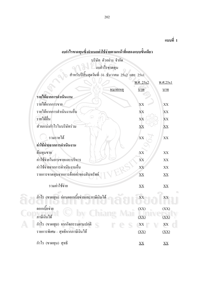# งบกำไรขาดทุนซึ่งจำแนกค่าใช้จ่ายตามหน้าที่แสดงแบบขั้นเดียว

# บริษัท ตัวอย่าง จำกัด

# งบกำไรขาดทุน<br>สำหรับปีสิ้นสุดวันที่ 31 ธันวาคม 25x2 และ 25x1

|                                              | <u>พ.ศ. 25x2</u> | M.M.25x1           |  |
|----------------------------------------------|------------------|--------------------|--|
| <u>หมายเหตุ</u>                              | <u>บาท</u>       | <u>บาท</u>         |  |
| รายได้จากการดำเนินงาน                        |                  |                    |  |
| รายได้จากการขาย                              | XX               | XX                 |  |
| รายใด้จากการดำเนินงานอื่น                    | XX               | XX                 |  |
| รายได้อื่น<br>$\overline{\phantom{a}}$       | XX               | XX                 |  |
| ส่วนแบ่งกำไรในบริษัทร่วม                     | XX               | XX                 |  |
| รวมรายได้                                    | XX               | XX                 |  |
| ค่าใช้จ่ายจากการดำเนินงาน                    |                  |                    |  |
| ด้นทุนขาย                                    | XX               | XX                 |  |
| ค่าใช้จ่ายในการขายและบริหาร                  | XX               | XX                 |  |
| ค่าใช้จ่ายจากการคำเนินงานอื่น                | XX               | XX                 |  |
| รายการขาดทุนจากการด้อยค่าของสินทรัพย์        | XX               | $X\!\overline{X}$  |  |
| รวมค่าใช้จ่าย                                | X X              | $X\!\!\!\!\!\!\!X$ |  |
| กำไร (ขาดทุน) ก่อนดอกเบี้ยจ่ายและภาษีเงินได้ | XX               | XX                 |  |
| ดอกเบี้ยจ่าย                                 | (XX)             | (XX)               |  |
| ภาษีเงินได้                                  | (XX)             | (XX)               |  |
| กำไร (ขาดทุน) จากกิจกรรมตามปกติ<br>S         | XX               | XX                 |  |
| รายการพิเศษ – สุทธิจากภาษีเงิน ได้           | (XX)             | (XX)               |  |
| กำใร (ขาดทุน) สุทธิ                          | $\frac{XX}{4}$   | $\underline{XX}$   |  |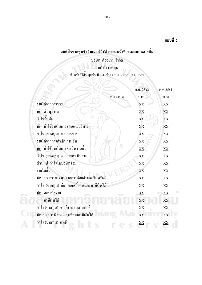# งบกำไรขาดทุนซึ่งจำแนกค่าใช้จ่ายตามหน้าที่แสดงแบบหลายขั้น

# บริษัท ตัวอย่าง จำกัด าราคา เรือง<br>พ.ศ. 31 ธันวาคม 25x2 และ 25x1<br>สำหรับปีสิ้นสุดวันที่ 31 ธันวาคม 25x2 และ 25x1

 $\overline{\delta}$  or  $\overline{\delta}$ 

| <u>พ.ศ. 25x2</u>       | M.M.25x1               |
|------------------------|------------------------|
| <u>บาท</u>             | <u>บาท</u>             |
| XX                     | XX                     |
| $X\!\overline{X}$      | X X                    |
| XX                     | <b>XX</b>              |
| XX                     | $\underline{XX}$       |
| XX                     | XX                     |
| XX                     | XX                     |
| $\overline{XX}$        | $\underline{XX}$       |
| XX                     | $\mathbf{X}\mathbf{X}$ |
| XX                     | $\mathbf{XX}$          |
| XX                     | XX                     |
| XX                     | $\underline{XX}$       |
| XX                     | XX                     |
| XX                     | $X\!\!\!\!\!\!X$       |
| XX                     | XX                     |
| XX                     | $\mathbf{X}\mathbf{X}$ |
| XX                     | $\overline{XX}$        |
| $\mathbf{X}\mathbf{X}$ | XX                     |
|                        |                        |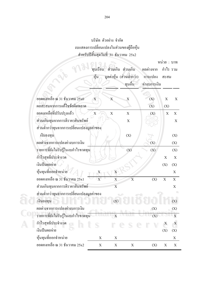# บริษัท ตัวอย่าง จำกัด งบแสดงการเปลี่ยนแปลงในส่วนของผู้ถือหุ้น สำหรับปีสิ้นสุดวันที่ 31 ธันวาคม 25x2

หน่วย : บาท

|                                           |                       |                   |                           |              | หน่วย : บาท               |                           |
|-------------------------------------------|-----------------------|-------------------|---------------------------|--------------|---------------------------|---------------------------|
|                                           |                       | ทุนเรือน ส่วนเกิน | ส่วนเกิน                  | ผลต่างจาก    | กำไร รวม                  |                           |
|                                           | ทุ้น                  |                   | มูลค่าหุ้น (ส่วนต่ำกว่า)  | การแปลง      | สะสม                      |                           |
|                                           |                       |                   | ทุนอื่น                   | ค่างบการเงิน |                           |                           |
|                                           |                       |                   |                           |              |                           |                           |
| ยอดคงเหลือ ณ 31 ธันวาคม 25x0              | $\mathbf{X}^{\prime}$ | X                 | $\mathbf X$               | (X)          | $\mathbf X$               | X                         |
| ผลสะสมจากการแก้ไขข้อผิดพลาด               |                       |                   |                           | (X)          | (X)                       |                           |
| ยอคงเหลือที่ปรับปรุงแล้ว                  | $\mathbf X$           | $\mathbf X$       | $\mathbf X$               | (X)          | $\mathbf X$               | $\boldsymbol{\mathrm{X}}$ |
| ส่วนเกินทุนจากการตีราคาสินทรัพย์          |                       |                   | $\boldsymbol{\mathrm{X}}$ |              |                           | X                         |
| ส่วนต่ำกว่าทุนจากการเปลี่ยนแปลงมูลค่าของ  |                       |                   |                           |              |                           |                           |
| เงินลงทุน                                 |                       |                   | (X)                       |              |                           | (X)                       |
| ผลต่างจากการแปลงค่างบการเงิน              |                       |                   |                           | (X)          |                           | (X)                       |
| รายการที่ยังไม่รับรู้ในงบกำไรขาดทุน       |                       |                   | (X)                       | (X)          |                           | (X)                       |
| กำไรสุทธิประจำงวด                         |                       |                   |                           |              | $\boldsymbol{\mathrm{X}}$ | X                         |
| เงินปันผลจ่าย                             |                       |                   |                           |              | (X)                       | (X)                       |
| หุ้นทุนที่ออกจำหน่าย                      |                       | $\mathbf X$       |                           |              |                           | X                         |
| ยอดคงเหลือ ณ 31 ธันวาคม 25 $\mathrm{x}$ 1 | $\overline{X}$        | $\mathbf X$       | $\overline{X}$            | (X)          | $\mathbf X$               | $\mathbf X$               |
| ส่วนเกินทุนจากการตีราคาสินทรัพย์          |                       | $\overline{X}$    |                           |              |                           | $\mathbf X$               |
| ส่วนต่ำกว่าทุนจากการเปลี่ยนแปลงมูลค่าของ  |                       |                   |                           |              |                           |                           |
| เงินลงทุน                                 |                       | (X)               |                           |              |                           | (X)                       |
| ผลต่างจากการแปลงค่างบการเงิน              |                       |                   |                           | (X)          |                           | (X)                       |
| รายการที่ยังไม่รับรู้ในงบกำไรขาดทุน       |                       | $\overline{X}$    |                           | (X)          |                           | X                         |
| กำไรสุทธิประจำงวด                         | S                     |                   |                           |              | X                         | X                         |
| เงินปันผลจ่าย                             |                       |                   |                           |              | (X)                       | (X)                       |
| หุ้นทุนที่ออกจำหน่าย                      | X                     | X                 |                           |              |                           | X                         |
| ยอดคงเหลือ ณ 31 ชันวาคม 25x2              | $\mathbf X$           | $\mathbf X$       | X                         | (X)          | $\mathbf X$               | X                         |
|                                           |                       |                   |                           |              |                           |                           |

204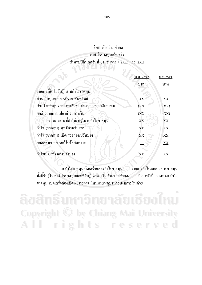# ำเรินัท ตัวอย่าง จำกัด งบกำไรขาดทุนเบ็ดเสร็จ ิสำหรับปีสิ้นสุดวันที่ 31 ธันวาคม 25x2 และ 25x1

**THELD** 

|                                                   | พ.ศ. 25x2  | W.R.25x1         |
|---------------------------------------------------|------------|------------------|
|                                                   | <u>บาท</u> | <u>บาท</u>       |
| รายการที่ยังไม่รับรู้ในงบกำไรขาดทุน               |            |                  |
| ส่วนเกินทุนจากการตีราคาสินทรัพย์                  | XX         | XX               |
| ส่วนต่ำกว่าทุนจากการเปลี่ยนแปลงมูลค่าของเงินลงทุน | (XX)       | (XX)             |
| ผลต่างจากการแปลงค่างบการเงิน                      | (XX)       | (XX)             |
| รวมรายการที่ยังไม่รับรู้ในงบกำไรขาดทุน            | XX         | <b>XX</b>        |
| กำไร (ขาดทุน) สุทธิสำหรับงวด                      | XX         | $X\!\!\!\!\!\!X$ |
| กำไร (ขาดทุน) เบ็ดเสร็จก่อนปรับปรุง               | XX         | XX               |
| ผลสะสมจากการแก้ไขข้อผิดพลาด                       |            | XX               |
| กำไรเบ็ดเสร็จหลังปรังปรุง                         |            | <u>ХХ</u>        |

งบกำไรขาดทุนเบ็ดเสร็จแสดงกำไรขาดทุน วายการกำไรและรายการขาดทุน ทั้งนี้รับรู้ในงบกำไรขาดทุนและที่รับรู้โดยตรงในส่วนของเจ้าของ กิจการที่เลือกแสดงงบกำไร ขาดทุน เบ็ดเสร็จต้องเปิดเผยรายการ ในหมายเหตุประกอบงบการเงินด้วย

ธิ์มหาวิทยาลัยเชียงไห Copyright © by Chiang Mai University All rights reserved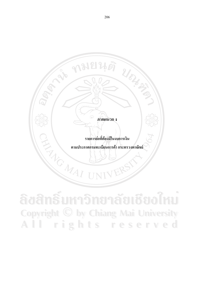#### ภาคผนวก ง

Nous of

รายการย่อที่ต้องมีในงบการเงิน

REAGNAL ตามประกาศกรมทะเบียนการค้า กระทรวงพาณิชย์

ลิขสิทธิ์มหาวิทยาลัยเชียงไหม **Copyright © by Chiang Mai University** All rights reserved

ทมยนดี

Lab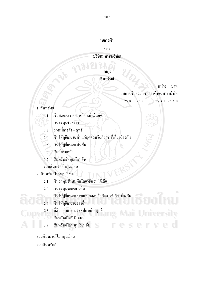#### งบการเงิน

ของ

#### บริษัทมหาชนจำกัด

งบดูล

#### สินทรัพย์

หน่วย $\pm$ บาท

งบการเงินรวม งบการเงินเฉพาะบริษัท

 $\begin{array}{c}\n\textbf{25 X1} \\
\textbf{25 X0}\n\end{array}$  $25 X 1 25 X 0$ 

### 1. สินทรัพย์

- เงินสดและรายการเทียบเท่าเงินสด  $1.1$
- เงินลงทุนชั่วคราว  $1.2$

**RP** 

- ลูกหนี้การค้า สุทธิ  $1.3$
- เงินให้กู้ยืมระยะสั้นแก่บุคคลหรือกิจการที่เกี่ยวข้องกัน  $1.4$
- เงินให้กู้ยืมระยะสั่นอื่น  $1.5$
- สินค้าคงเหลือ  $1.6\sqrt{ }$
- สินทรัพย์หมุนเวียนอื่น  $1.7$
- รวมสินทรัพย์หมุนเวียน
- 2. สินทรัพย์ไม่หมุนเวียน
	- เงินลงทุนซึ่งบันทึกโดยวิธีส่วนได้เสีย  $2.1$
	- เงินลงทุนระยะยาวอื่น  $2.2$
	- เงินให้กู้ขึมระยะยาวแก่บุคคลหรือกิจการที่เกี่ยวข้องกัน  $2.3$
	- เงินให้กู้ยืมระยะยาวอื่น  $2.4$
	- ที่ดิน อาคาร และอุปกรณ์ สุทธิ  $2.5$
	- สิบทรัพย์ไม่มีตัวตบ  $2.6^{\circ}$
	- V e สินทรัพย์ไม่หมุนเวียนอื่น  $2.7$

รวมสินทรัพย์ไม่หมุนเวียน

รวมสินทรัพย์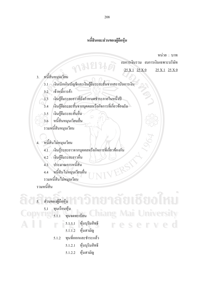# หนี้สินและส่วนของผู้ถือหุ้น

หน่วย $\pm$ บาท

**Iniversity** 

งบการเงินรวม งบการเงินเฉพาะบริษัท

 $25 X 1 25 X 0$  $25 X 1 25 X 0$ 

หนี้สินหมุนเวียน  $3.$ 

> เงินเบิกเกินบัญชีและเงินกู้ยืมระยะสั้นจากสถาบันการเงิน  $3.1$

เจ้าหนี้การค้า  $3.2$ 

เงินกู้ยืมระยะยาวที่ถึงกำหนดชำระภายในหนึ่งปี  $3.3$ 

 $3181$ 

เงินกู้ยืมระยะสั้นจากบุคคลหรือกิจการที่เกี่ยวข้องกัน  $3.4$ 

เงินกู้ยืมระยะสั้นอื่น  $3.5$ 

หนี้สินหมุนเวียนอื่น  $3.6$ 

้รวมหนี้สินหมุนเวียน

หนี้สินไม่หมุนเวียน  $\overline{4}$ .

> เงินกู้ระยะยาวจากบุคคลหรือกิจการที่เกี่ยวข้องกัน  $\overline{4.1}$

เงินก้ยืมระยะยาวอื่น  $4.2$ 

ประมาณการหนี้สิน  $4.3$ 

หนี้สินไม่หมุนเวียนอื่น  $4.4$ 

รวมหนี้สินไม่หมุนเวียน

รวมหนี้สิน

ส่วนของผู้ถือหุ้น  $\overline{5}$ .

ทุนเรือนหุ้น 5.1

ทุนจดทะเบียน 11212  $5.1.1$ 

> หุ้นบุริมสิทธิ  $5.1.1.1$

หุ้นสามัญ  $5.1.1.2$ 

ทุนที่ออกและชำระแล้ว  $5.1.2$ 

- หุ้นบุริมสิทธิ  $5.1.2.1$
- หุ้นสามัญ 5.1.2.2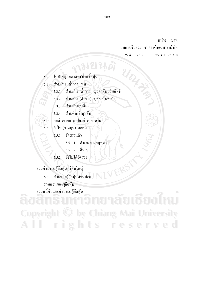หน่วย · บาท

งบการเงินรวม งบการเงินเฉพาะบริษัท

 $25 X1 25 X0$  $25 X 1 25 X 0$ 

ใบสำคัญแสดงสิทธิที่จะซื้อหุ้น  $5.2$ 

ส่วนเกิน (ต่ำกว่า) ทุน  $5.3$ 

URA BAY 5.3.1 ส่วนเกิน (ต่ำกว่า) มูลค่าหุ้นบุริมสิทธิ

**กมยนตั** 

ส่วนเกิน (ต่ำกว่า) มูลค่าหุ้นสามัญ  $5.3.2$ 

5.3.3 ส่วนเกินทุนอื่น

ส่วนต่ำกว่าทุนอื่น  $5.3.4$ 

ผลต่างจากการแปลงค่างบการเงิน

กำไร (ขาดทุน) สะสม

จัดสรรแล้ว  $5.5.1$ 

> $5.5.1.1$ สำรองตามกฎหมาย

- อื่น ๆ  $5.5.1.2$
- ยังไม่ได้จัดสรร  $5.5.2$

รวมส่วนของผู้ถือหุ้นบริษัทใหญ่

 $5.4$ 

 $5.5$ 

ส่วนของผู้ถือหุ้นส่วนน้อย 5.6

รวมส่วนของผู้ถือหุ้น

รวมหนี้สินและส่วนของผู้ถือหุ้น

**Copyright C by Chiang Mai University** rights reserved AII

ERS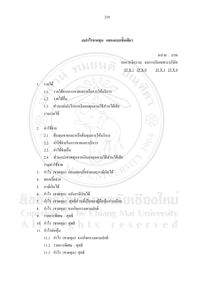## ึงบกำไรขาดทูน แสดงแบบขั้นเดียว

หน่วย $\pm$ บาท

งบการเงินรวม งบการเงินเฉพาะบริษัท

 $25 X 1 25 X 0$  $25 X 1 25 X 0$ 

- ้รายได้  $1/$ 
	- รายได้จากการขายและหรือการให้บริการ  $11$
	- รายได้อื่น  $\overline{12}$
	- ส่วนแบ่งกำไรจากเงินลงทุนตามวิธีส่วนได้เสีย  $1.3$

รวมรายได้

- ้ค่าใช้ก่าย  $\mathfrak{D}$ 
	- ด้นทุนขายและหรือต้นทุนการให้บริการ  $2.1$
	- ค่าใช้จ่ายในการขายและบริหาร  $2.2$
	- ์ ค่าใช้จ่ายอื่น  $2.3 -$
	- 2.4 ส่วนแบ่งขาดทุนจากเงินลงทุนตามวิธีส่วนได้เสีย รวมค่าใช้จ่าย
- ี กำไร (ขาดทุน) ก่อนดอกเบี้ยจ่ายและภาษีเงินได้  $3.$
- ดอกเบี้ยจ่าย  $\overline{4}$ .
- ภาพิเงินได้  $5<sub>1</sub>$
- 6. กำไร (ขาดทุน) หลังภาษีเงินได้
- กำไร (ขาดทุน) สุทธิส่วนที่เป็นของผู้ถือหุ้นส่วนน้อย  $\overline{7}$ .
- กำไร (ขาดทุน) จากกิจกรรมตามปกติ 8.
- 9. รายการพิเศษ สุทธิ
- 10. กำไร (ขาดทุน) สุทธิ
- 11. กำไรต่อหุ้น
	- 11.1 กำไร (ขาดทุน) จากกิจกรรมตามปกติ
	- $11.2$  รายการพิเศษ สุทธิ์
	- 11.3 กำไร (ขาดทุน) สุทธิ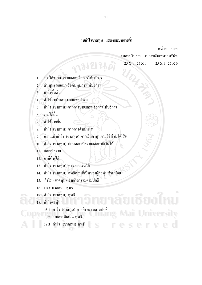## ึ่งบกำไรขาดทุน แสดงแบบหลายขั้น

หน่วย : บาท

งบการเงินรวม งบการเงินเฉพาะบริษัท

they

25 X 1 25 X 0 25 X 1 25 X 0

- รายได้จากการขายและหรือการให้บริการ  $1.$
- ด้นทุนขายและหรือด้นทุนการให้บริการ  $\overline{2}$ .
- กำไรขั้นด้น  $\overline{3}$
- ค่าใช้จ่ายในการขายและบริหาร  $\overline{4}$
- กำไร (ขาดทุน) จากการขายและหรือการให้บริการ  $\overline{5}$ .

**คามยา** 

- ิ<br>รายได้อิบ  $6.$
- ค่าใช้ถ่ายอื่น  $\overline{7}$
- ้กำไร (ขาดทุน) จากการดำเนินงาน 8.
- ้ส่วนแบ่งกำไร (ขาดทุน) จากเงินลงทุนตามวิธีส่วนได้เสีย  $9.$
- 10. กำไร (ขาดทุน) ก่อนดอกเบี้ยง่ายและภาษีเงินได้
- 11 ดอกเบี้ยจ่าย
- 12 ภาพีเงินได้
- 13. กำไร (ขาดทุน) หลังภาษีเงินได้
- 14. กำไร (ขาดทุน) สุทธิส่วนที่เป็นของผู้ถือหุ้นส่วนน้อย
- 15. กำไร (ขาดทุน) จากกิจกรรมตามปกติ
- $16.$  รายการพิเศษ สุทธิ
- 17. กำไร (ขาดทุน) สุทธิ
- 18. กำไรต่อห้น
	- 18.1 กำไร (ขาดทุน) จากกิจกรรมตามปกติ
	- $18.2$  รายการพิเศษ สุทธิ
	- 18.3 กำไร (ขาดทุน) สุทธิ
-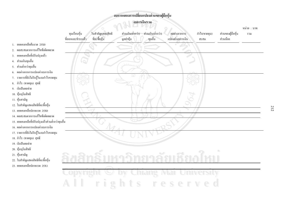# งบการแสดงการเปลี่ยนแปลงส่วนของผู้ถือหุ้น

#### ึงบการเงินรวม

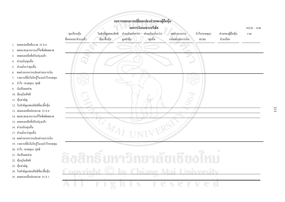### งบการแสดงการเปลี่ยนแปลงส่วนของผู้ถือหุ้น



- 
- 2. ผลสะสมจากการแก้ไขข้อผิดพลาด
- ยอดคงเหลือที่ปรับปรุงแล้ว  $3.$
- ส่วนเกินทนอื่น  $4.$
- ส่วนต่ำกว่าทุนอื่น 5.
- ผลต่างจากการแปลงค่างบการเงิน 6.
- 7. รายการที่ยังไม่รับรู้ในงบกำไรขาดทุน
- กำไร (ขาดทุน) สุทธิ 8.
- 9. เงินปันผลจ่าย
- 10. หุ้นบุริมสิทธิ
- 11. หุ้นสามัญ
- 12. ใบสำคัญแสดงสิทธิที่จะซื้อหุ้น
- 13. ยอดคงเหลือปลายงวด 25 $X$ 0
- 14. ผลสะสมจากการแก้ไขข้อผิดพลาด
- 15. ยอดคงเหลือที่ปรับปรุงแล้ว
- 16. ส่วนเกินทุนอื่น
- 17. ส่วนต่ำกว่าทุนอื่น
- 18. ผลต่างจากการแปลงค่างบการเงิน
- 19. รายการที่ยังไม่รับรู้ในงบกำไรขาดทุน
- 20. กำไร (ขาดทน) สทธิ
- 21 เงินปันผลจ่าย
- 22. หุ้นบุริมสิทธิ
- 23. หุ้นสามัญ
- 24. ใบสำคัญแสดงสิทธิที่จะซื้อหุ้น
- 25. ยอดคงเหลือปลายงาด 25 X 1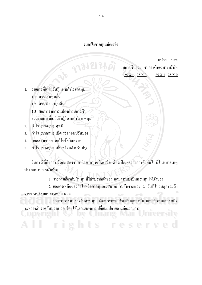## งบกำไรขาดทุนเบ็ดเสร็จ

หน่วย : บาท

งบการเงินรวม งบการเงินเฉพาะบริษัท

eserve

 $25 X 1 25 X 0$  $25 X1 25 X0$ 

- รายการที่ยังไม่รับรู้ในงบกำไรขาดทุน 1.
	- 1.1 ส่วนเกินทุนอื่น
	- 1.2 ส่วนต่ำกว่าทุนอื่น
	- 1.3 ผลต่างจากการแปลงค่างบการเงิน รวมรายการที่ยังไม่รับร้ในงบกำไรขาดทน
- กำไร (ขาดทุน) สุทธิ  $\overline{2}$ .
- กำไร (ขาดทุน) เบ็ดเสร็จก่อนปรับปรุง  $3.$
- หลสะสมจากการแก้ไขข้อผิดพลาด  $4<sub>1</sub>$
- กำไร (ขาดทุน) เบ็ดเสร็จหลังปรับปรุง  $5.$

ในกรณีที่กิจการเลือกแสดงงบกำไรขาดทุนเบ็ดเสร็จ ต้องเปิดเผยรายการดังต่อไปนี้ในหมายเหตุ ประกอบงบการเงินด้วย

1. รายการเกี่ยวกับเงินทุนที่ได้รับจากเจ้าของ และการแบ่งปันส่วนทุนให้เจ้าของ

2. ยอดคงเหลือของกำไรหรือขาดทุนสะสม ณ วันต้นงวดและ ณ วันที่ในงบดุลรวมถึง ้รายการเปลี่ยนแปลงระหว่างงวด

3. รายการกระทบยอดในส่วนทุนแต่ละประเภท ส่วนเกินมูลค่าหุ้น และสำรองแต่ละชนิด ระหว่างต้นงวดกับปลายงวด โดยให้แยกแสดงการเปลี่ยนแปลงของแต่ละรายการ

hts

 $\tilde{1}$   $\tilde{2}$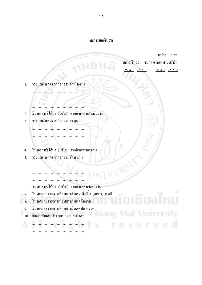## งบกระแสเงินสด

|     |                                                      |                      | หน่วย : บาท   |
|-----|------------------------------------------------------|----------------------|---------------|
|     | งบการเงินรวม งบการเงินเฉพาะบริษัท                    |                      |               |
|     |                                                      | 25 X 1 25 X 0        | 25 X 1 25 X 0 |
|     |                                                      |                      |               |
| 1.  | กระแสเงินสดจากกิจกรรมดำเนินงาน                       |                      |               |
|     |                                                      |                      |               |
|     |                                                      |                      |               |
|     |                                                      |                      |               |
| 2.  | เงินสคสุทธิ์ได้มา (ใช้ไป) จากกิจกรรมดำเนินงาน        |                      |               |
| 3.  | กระแสเงินสดจากกิจกรรมลงทุน                           |                      |               |
|     |                                                      |                      |               |
|     |                                                      |                      |               |
|     |                                                      |                      |               |
| 4.  | เงินสดสุทธิได้มา (ใช้ไป) จากกิจกรรมลงทุน             |                      |               |
| 5.  | กระแสเงินสคจากกิจกรรมจัดหาเงิน                       |                      |               |
|     |                                                      |                      |               |
|     |                                                      |                      |               |
|     |                                                      |                      |               |
| 6.  | เงินสคสุทธิได้มา (ใช้ไป) จากกิจกรรมจัดหาเงิน         |                      |               |
| 7.  | เงินสดและรายการเทียบเท่าเงินสดเพิ่มขึ้น (ลดลง) สุทธิ |                      |               |
| 8.  | เงินสดและรายการเทียบเท่าเงินสดต้นงวด                 |                      |               |
| 9.  | เงินสดและรายการเทียบเท่าเงินสดปลายงวด                |                      |               |
| 10. | man<br>ข้อมูลเพิ่มเติมประกอบกระแสเงินสด              | <b>Mai Universit</b> |               |
|     | S                                                    | reserve              |               |
|     |                                                      |                      |               |
|     |                                                      |                      |               |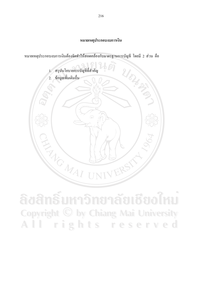## หมายเหตุประกอบงบการเงิน

หมายเหตุประกอบงบการเงินต้องจัดทำให้สอดคล้องกับมาตรฐานการบัญชี โดยมี 2 ส่วน คือ



ลิขสิทธิ์มหาวิทยาลัยเชียงไหม **Copyright C by Chiang Mai University** All rights reserved